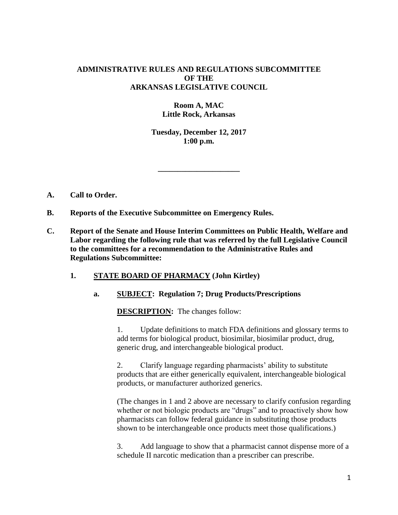### **ADMINISTRATIVE RULES AND REGULATIONS SUBCOMMITTEE OF THE ARKANSAS LEGISLATIVE COUNCIL**

# **Room A, MAC Little Rock, Arkansas**

**Tuesday, December 12, 2017 1:00 p.m.**

**\_\_\_\_\_\_\_\_\_\_\_\_\_\_\_\_\_\_\_\_\_**

- **A. Call to Order.**
- **B. Reports of the Executive Subcommittee on Emergency Rules.**
- **C. Report of the Senate and House Interim Committees on Public Health, Welfare and Labor regarding the following rule that was referred by the full Legislative Council to the committees for a recommendation to the Administrative Rules and Regulations Subcommittee:**
	- **1. STATE BOARD OF PHARMACY (John Kirtley)**

### **a. SUBJECT: Regulation 7; Drug Products/Prescriptions**

**DESCRIPTION:** The changes follow:

1. Update definitions to match FDA definitions and glossary terms to add terms for biological product, biosimilar, biosimilar product, drug, generic drug, and interchangeable biological product.

2. Clarify language regarding pharmacists' ability to substitute products that are either generically equivalent, interchangeable biological products, or manufacturer authorized generics.

(The changes in 1 and 2 above are necessary to clarify confusion regarding whether or not biologic products are "drugs" and to proactively show how pharmacists can follow federal guidance in substituting those products shown to be interchangeable once products meet those qualifications.)

3. Add language to show that a pharmacist cannot dispense more of a schedule II narcotic medication than a prescriber can prescribe.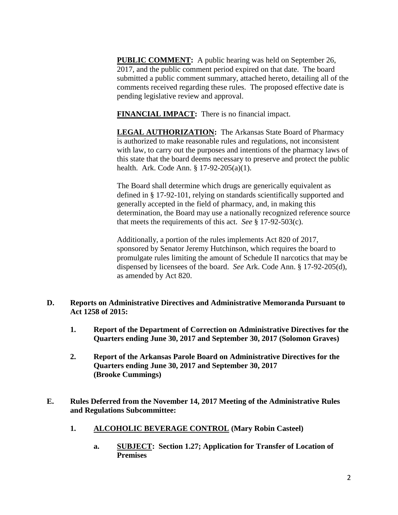**PUBLIC COMMENT:** A public hearing was held on September 26, 2017, and the public comment period expired on that date. The board submitted a public comment summary, attached hereto, detailing all of the comments received regarding these rules. The proposed effective date is pending legislative review and approval.

**FINANCIAL IMPACT:** There is no financial impact.

**LEGAL AUTHORIZATION:** The Arkansas State Board of Pharmacy is authorized to make reasonable rules and regulations, not inconsistent with law, to carry out the purposes and intentions of the pharmacy laws of this state that the board deems necessary to preserve and protect the public health. Ark. Code Ann. § 17-92-205(a)(1).

The Board shall determine which drugs are generically equivalent as defined in § 17-92-101, relying on standards scientifically supported and generally accepted in the field of pharmacy, and, in making this determination, the Board may use a nationally recognized reference source that meets the requirements of this act. *See* § 17-92-503(c).

Additionally, a portion of the rules implements Act 820 of 2017, sponsored by Senator Jeremy Hutchinson, which requires the board to promulgate rules limiting the amount of Schedule II narcotics that may be dispensed by licensees of the board. *See* Ark. Code Ann. § 17-92-205(d), as amended by Act 820.

- **D. Reports on Administrative Directives and Administrative Memoranda Pursuant to Act 1258 of 2015:**
	- **1. Report of the Department of Correction on Administrative Directives for the Quarters ending June 30, 2017 and September 30, 2017 (Solomon Graves)**
	- **2. Report of the Arkansas Parole Board on Administrative Directives for the Quarters ending June 30, 2017 and September 30, 2017 (Brooke Cummings)**
- **E. Rules Deferred from the November 14, 2017 Meeting of the Administrative Rules and Regulations Subcommittee:**
	- **1. ALCOHOLIC BEVERAGE CONTROL (Mary Robin Casteel)**
		- **a. SUBJECT: Section 1.27; Application for Transfer of Location of Premises**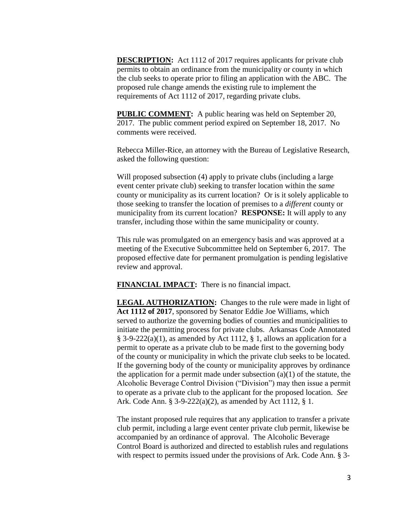**DESCRIPTION:** Act 1112 of 2017 requires applicants for private club permits to obtain an ordinance from the municipality or county in which the club seeks to operate prior to filing an application with the ABC. The proposed rule change amends the existing rule to implement the requirements of Act 1112 of 2017, regarding private clubs.

**PUBLIC COMMENT:** A public hearing was held on September 20, 2017. The public comment period expired on September 18, 2017. No comments were received.

Rebecca Miller-Rice, an attorney with the Bureau of Legislative Research, asked the following question:

Will proposed subsection (4) apply to private clubs (including a large event center private club) seeking to transfer location within the *same* county or municipality as its current location? Or is it solely applicable to those seeking to transfer the location of premises to a *different* county or municipality from its current location? **RESPONSE:** It will apply to any transfer, including those within the same municipality or county.

This rule was promulgated on an emergency basis and was approved at a meeting of the Executive Subcommittee held on September 6, 2017. The proposed effective date for permanent promulgation is pending legislative review and approval.

**FINANCIAL IMPACT:** There is no financial impact.

**LEGAL AUTHORIZATION:** Changes to the rule were made in light of **Act 1112 of 2017**, sponsored by Senator Eddie Joe Williams, which served to authorize the governing bodies of counties and municipalities to initiate the permitting process for private clubs. Arkansas Code Annotated § 3-9-222(a)(1), as amended by Act 1112, § 1, allows an application for a permit to operate as a private club to be made first to the governing body of the county or municipality in which the private club seeks to be located. If the governing body of the county or municipality approves by ordinance the application for a permit made under subsection  $(a)(1)$  of the statute, the Alcoholic Beverage Control Division ("Division") may then issue a permit to operate as a private club to the applicant for the proposed location. *See* Ark. Code Ann. § 3-9-222(a)(2), as amended by Act 1112, § 1.

The instant proposed rule requires that any application to transfer a private club permit, including a large event center private club permit, likewise be accompanied by an ordinance of approval. The Alcoholic Beverage Control Board is authorized and directed to establish rules and regulations with respect to permits issued under the provisions of Ark. Code Ann. § 3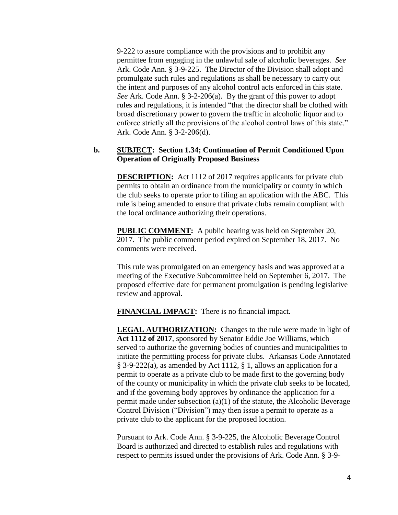9-222 to assure compliance with the provisions and to prohibit any permittee from engaging in the unlawful sale of alcoholic beverages. *See* Ark. Code Ann. § 3-9-225. The Director of the Division shall adopt and promulgate such rules and regulations as shall be necessary to carry out the intent and purposes of any alcohol control acts enforced in this state. *See* Ark. Code Ann. § 3-2-206(a). By the grant of this power to adopt rules and regulations, it is intended "that the director shall be clothed with broad discretionary power to govern the traffic in alcoholic liquor and to enforce strictly all the provisions of the alcohol control laws of this state." Ark. Code Ann. § 3-2-206(d).

### **b. SUBJECT: Section 1.34; Continuation of Permit Conditioned Upon Operation of Originally Proposed Business**

**DESCRIPTION:** Act 1112 of 2017 requires applicants for private club permits to obtain an ordinance from the municipality or county in which the club seeks to operate prior to filing an application with the ABC. This rule is being amended to ensure that private clubs remain compliant with the local ordinance authorizing their operations.

**PUBLIC COMMENT:** A public hearing was held on September 20, 2017. The public comment period expired on September 18, 2017. No comments were received.

This rule was promulgated on an emergency basis and was approved at a meeting of the Executive Subcommittee held on September 6, 2017. The proposed effective date for permanent promulgation is pending legislative review and approval.

**FINANCIAL IMPACT:** There is no financial impact.

**LEGAL AUTHORIZATION:** Changes to the rule were made in light of **Act 1112 of 2017**, sponsored by Senator Eddie Joe Williams, which served to authorize the governing bodies of counties and municipalities to initiate the permitting process for private clubs. Arkansas Code Annotated § 3-9-222(a), as amended by Act 1112, § 1, allows an application for a permit to operate as a private club to be made first to the governing body of the county or municipality in which the private club seeks to be located, and if the governing body approves by ordinance the application for a permit made under subsection  $(a)(1)$  of the statute, the Alcoholic Beverage Control Division ("Division") may then issue a permit to operate as a private club to the applicant for the proposed location.

Pursuant to Ark. Code Ann. § 3-9-225, the Alcoholic Beverage Control Board is authorized and directed to establish rules and regulations with respect to permits issued under the provisions of Ark. Code Ann. § 3-9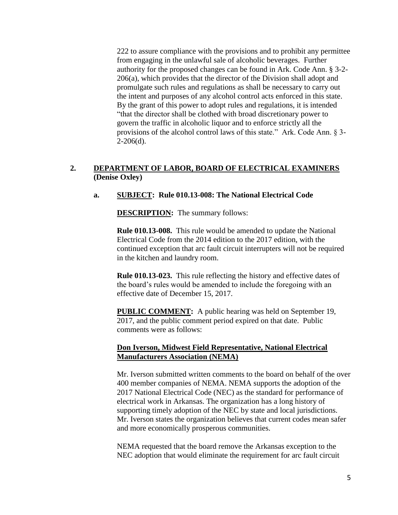222 to assure compliance with the provisions and to prohibit any permittee from engaging in the unlawful sale of alcoholic beverages. Further authority for the proposed changes can be found in Ark. Code Ann. § 3-2- 206(a), which provides that the director of the Division shall adopt and promulgate such rules and regulations as shall be necessary to carry out the intent and purposes of any alcohol control acts enforced in this state. By the grant of this power to adopt rules and regulations, it is intended "that the director shall be clothed with broad discretionary power to govern the traffic in alcoholic liquor and to enforce strictly all the provisions of the alcohol control laws of this state." Ark. Code Ann. § 3-  $2-206(d)$ .

# **2. DEPARTMENT OF LABOR, BOARD OF ELECTRICAL EXAMINERS (Denise Oxley)**

### **a. SUBJECT: Rule 010.13-008: The National Electrical Code**

**DESCRIPTION:** The summary follows:

**Rule 010.13-008.** This rule would be amended to update the National Electrical Code from the 2014 edition to the 2017 edition, with the continued exception that arc fault circuit interrupters will not be required in the kitchen and laundry room.

**Rule 010.13-023.** This rule reflecting the history and effective dates of the board's rules would be amended to include the foregoing with an effective date of December 15, 2017.

**PUBLIC COMMENT:** A public hearing was held on September 19, 2017, and the public comment period expired on that date. Public comments were as follows:

### **Don Iverson, Midwest Field Representative, National Electrical Manufacturers Association (NEMA)**

Mr. Iverson submitted written comments to the board on behalf of the over 400 member companies of NEMA. NEMA supports the adoption of the 2017 National Electrical Code (NEC) as the standard for performance of electrical work in Arkansas. The organization has a long history of supporting timely adoption of the NEC by state and local jurisdictions. Mr. Iverson states the organization believes that current codes mean safer and more economically prosperous communities.

NEMA requested that the board remove the Arkansas exception to the NEC adoption that would eliminate the requirement for arc fault circuit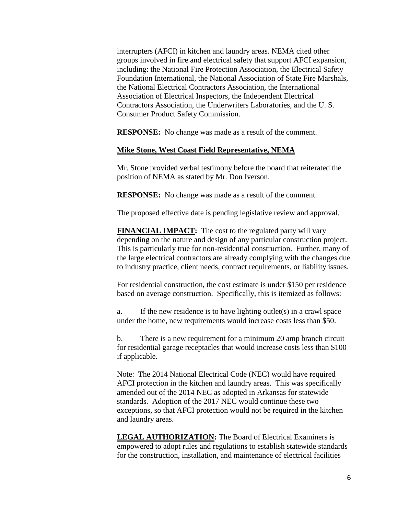interrupters (AFCI) in kitchen and laundry areas. NEMA cited other groups involved in fire and electrical safety that support AFCI expansion, including: the National Fire Protection Association, the Electrical Safety Foundation International, the National Association of State Fire Marshals, the National Electrical Contractors Association, the International Association of Electrical Inspectors, the Independent Electrical Contractors Association, the Underwriters Laboratories, and the U. S. Consumer Product Safety Commission.

**RESPONSE:** No change was made as a result of the comment.

#### **Mike Stone, West Coast Field Representative, NEMA**

Mr. Stone provided verbal testimony before the board that reiterated the position of NEMA as stated by Mr. Don Iverson.

**RESPONSE:** No change was made as a result of the comment.

The proposed effective date is pending legislative review and approval.

**FINANCIAL IMPACT:** The cost to the regulated party will vary depending on the nature and design of any particular construction project. This is particularly true for non-residential construction. Further, many of the large electrical contractors are already complying with the changes due to industry practice, client needs, contract requirements, or liability issues.

For residential construction, the cost estimate is under \$150 per residence based on average construction. Specifically, this is itemized as follows:

a. If the new residence is to have lighting outlet(s) in a crawl space under the home, new requirements would increase costs less than \$50.

b. There is a new requirement for a minimum 20 amp branch circuit for residential garage receptacles that would increase costs less than \$100 if applicable.

Note: The 2014 National Electrical Code (NEC) would have required AFCI protection in the kitchen and laundry areas. This was specifically amended out of the 2014 NEC as adopted in Arkansas for statewide standards. Adoption of the 2017 NEC would continue these two exceptions, so that AFCI protection would not be required in the kitchen and laundry areas.

**LEGAL AUTHORIZATION:** The Board of Electrical Examiners is empowered to adopt rules and regulations to establish statewide standards for the construction, installation, and maintenance of electrical facilities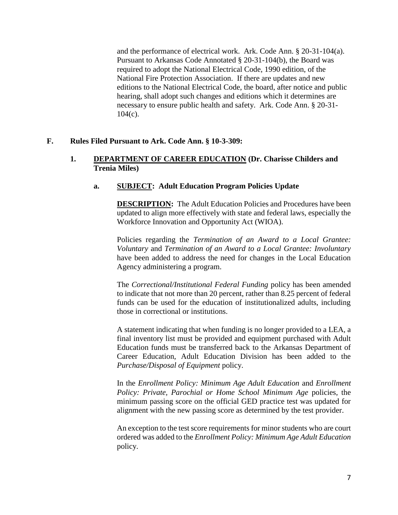and the performance of electrical work. Ark. Code Ann. § 20-31-104(a). Pursuant to Arkansas Code Annotated § 20-31-104(b), the Board was required to adopt the National Electrical Code, 1990 edition, of the National Fire Protection Association. If there are updates and new editions to the National Electrical Code, the board, after notice and public hearing, shall adopt such changes and editions which it determines are necessary to ensure public health and safety. Ark. Code Ann. § 20-31-  $104(c)$ .

### **F. Rules Filed Pursuant to Ark. Code Ann. § 10-3-309:**

### **1. DEPARTMENT OF CAREER EDUCATION (Dr. Charisse Childers and Trenia Miles)**

### **a. SUBJECT: Adult Education Program Policies Update**

**DESCRIPTION:** The Adult Education Policies and Procedures have been updated to align more effectively with state and federal laws, especially the Workforce Innovation and Opportunity Act (WIOA).

Policies regarding the *Termination of an Award to a Local Grantee: Voluntary* and *Termination of an Award to a Local Grantee: Involuntary* have been added to address the need for changes in the Local Education Agency administering a program.

The *Correctional/Institutional Federal Funding* policy has been amended to indicate that not more than 20 percent, rather than 8.25 percent of federal funds can be used for the education of institutionalized adults, including those in correctional or institutions.

A statement indicating that when funding is no longer provided to a LEA, a final inventory list must be provided and equipment purchased with Adult Education funds must be transferred back to the Arkansas Department of Career Education, Adult Education Division has been added to the *Purchase/Disposal of Equipment* policy.

In the *Enrollment Policy: Minimum Age Adult Education* and *Enrollment Policy: Private, Parochial or Home School Minimum Age* policies, the minimum passing score on the official GED practice test was updated for alignment with the new passing score as determined by the test provider.

An exception to the test score requirements for minor students who are court ordered was added to the *Enrollment Policy: Minimum Age Adult Education* policy.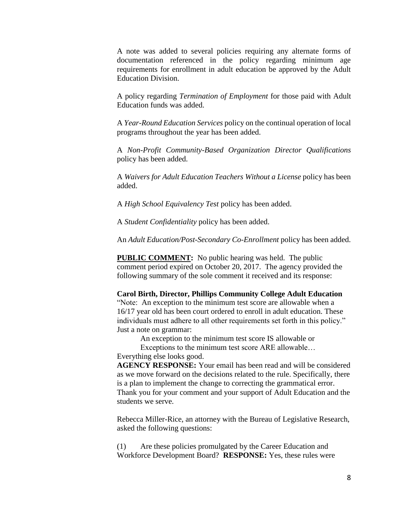A note was added to several policies requiring any alternate forms of documentation referenced in the policy regarding minimum age requirements for enrollment in adult education be approved by the Adult Education Division.

A policy regarding *Termination of Employment* for those paid with Adult Education funds was added.

A *Year-Round Education Services* policy on the continual operation of local programs throughout the year has been added.

A *Non-Profit Community-Based Organization Director Qualifications* policy has been added.

A *Waivers for Adult Education Teachers Without a License* policy has been added.

A *High School Equivalency Test* policy has been added.

A *Student Confidentiality* policy has been added.

An *Adult Education/Post-Secondary Co-Enrollment* policy has been added.

**PUBLIC COMMENT:** No public hearing was held. The public comment period expired on October 20, 2017. The agency provided the following summary of the sole comment it received and its response:

**Carol Birth, Director, Phillips Community College Adult Education** "Note: An exception to the minimum test score are allowable when a 16/17 year old has been court ordered to enroll in adult education. These

individuals must adhere to all other requirements set forth in this policy." Just a note on grammar:

An exception to the minimum test score IS allowable or

Exceptions to the minimum test score ARE allowable… Everything else looks good.

**AGENCY RESPONSE:** Your email has been read and will be considered as we move forward on the decisions related to the rule. Specifically, there is a plan to implement the change to correcting the grammatical error. Thank you for your comment and your support of Adult Education and the students we serve.

Rebecca Miller-Rice, an attorney with the Bureau of Legislative Research, asked the following questions:

(1) Are these policies promulgated by the Career Education and Workforce Development Board? **RESPONSE:** Yes, these rules were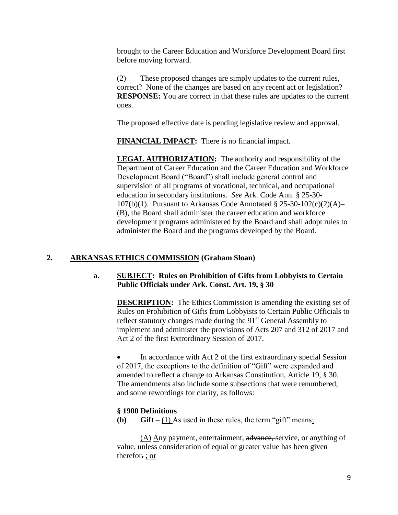brought to the Career Education and Workforce Development Board first before moving forward.

(2) These proposed changes are simply updates to the current rules, correct? None of the changes are based on any recent act or legislation? **RESPONSE:** You are correct in that these rules are updates to the current ones.

The proposed effective date is pending legislative review and approval.

**FINANCIAL IMPACT:** There is no financial impact.

**LEGAL AUTHORIZATION:** The authority and responsibility of the Department of Career Education and the Career Education and Workforce Development Board ("Board") shall include general control and supervision of all programs of vocational, technical, and occupational education in secondary institutions. *See* Ark. Code Ann. § 25-30- 107(b)(1). Pursuant to Arkansas Code Annotated  $\S 25-30-102(c)(2)(A)$ (B), the Board shall administer the career education and workforce development programs administered by the Board and shall adopt rules to administer the Board and the programs developed by the Board.

# **2. ARKANSAS ETHICS COMMISSION (Graham Sloan)**

### **a. SUBJECT: Rules on Prohibition of Gifts from Lobbyists to Certain Public Officials under Ark. Const. Art. 19, § 30**

**DESCRIPTION:** The Ethics Commission is amending the existing set of Rules on Prohibition of Gifts from Lobbyists to Certain Public Officials to reflect statutory changes made during the 91<sup>st</sup> General Assembly to implement and administer the provisions of Acts 207 and 312 of 2017 and Act 2 of the first Extrordinary Session of 2017.

 In accordance with Act 2 of the first extraordinary special Session of 2017, the exceptions to the definition of "Gift" were expanded and amended to reflect a change to Arkansas Constitution, Article 19, § 30. The amendments also include some subsections that were renumbered, and some rewordings for clarity, as follows:

### **§ 1900 Definitions**

**(b) Gift** –  $(1)$  As used in these rules, the term "gift" means:

(A) Any payment, entertainment, advance, service, or anything of value, unless consideration of equal or greater value has been given therefor. ; or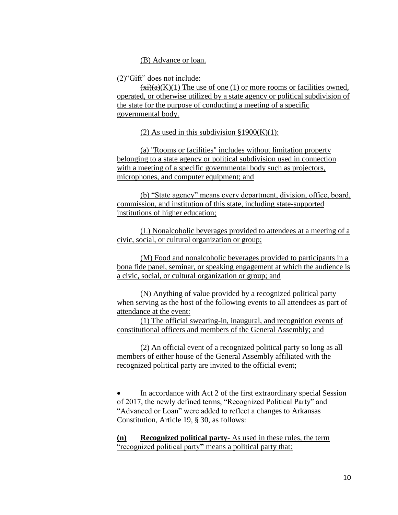(B) Advance or loan.

(2)"Gift" does not include:

 $\overline{(x_i)(a)}(K)(1)$  The use of one (1) or more rooms or facilities owned, operated, or otherwise utilized by a state agency or political subdivision of the state for the purpose of conducting a meeting of a specific governmental body.

(2) As used in this subdivision  $\S 1900(K)(1)$ :

(a) "Rooms or facilities" includes without limitation property belonging to a state agency or political subdivision used in connection with a meeting of a specific governmental body such as projectors, microphones, and computer equipment; and

(b) "State agency" means every department, division, office, board, commission, and institution of this state, including state-supported institutions of higher education;

(L) Nonalcoholic beverages provided to attendees at a meeting of a civic, social, or cultural organization or group;

(M) Food and nonalcoholic beverages provided to participants in a bona fide panel, seminar, or speaking engagement at which the audience is a civic, social, or cultural organization or group; and

(N) Anything of value provided by a recognized political party when serving as the host of the following events to all attendees as part of attendance at the event:

(1) The official swearing-in, inaugural, and recognition events of constitutional officers and members of the General Assembly; and

(2) An official event of a recognized political party so long as all members of either house of the General Assembly affiliated with the recognized political party are invited to the official event;

 In accordance with Act 2 of the first extraordinary special Session of 2017, the newly defined terms, "Recognized Political Party" and "Advanced or Loan" were added to reflect a changes to Arkansas Constitution, Article 19, § 30, as follows:

**(n) Recognized political party-** As used in these rules, the term "recognized political party**"** means a political party that: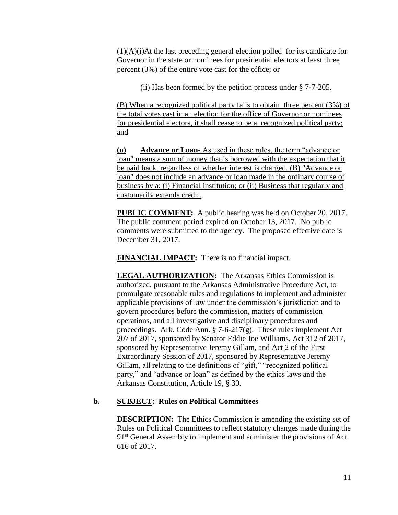(1)(A)(i)At the last preceding general election polled for its candidate for Governor in the state or nominees for presidential electors at least three percent (3%) of the entire vote cast for the office; or

(ii) Has been formed by the petition process under § 7-7-205.

(B) When a recognized political party fails to obtain three percent (3%) of the total votes cast in an election for the office of Governor or nominees for presidential electors, it shall cease to be a recognized political party; and

**(o) Advance or Loan-** As used in these rules, the term "advance or loan" means a sum of money that is borrowed with the expectation that it be paid back, regardless of whether interest is charged. (B) "Advance or loan" does not include an advance or loan made in the ordinary course of business by a: (i) Financial institution; or (ii) Business that regularly and customarily extends credit.

**PUBLIC COMMENT:** A public hearing was held on October 20, 2017. The public comment period expired on October 13, 2017. No public comments were submitted to the agency. The proposed effective date is December 31, 2017.

**FINANCIAL IMPACT:** There is no financial impact.

**LEGAL AUTHORIZATION:** The Arkansas Ethics Commission is authorized, pursuant to the Arkansas Administrative Procedure Act, to promulgate reasonable rules and regulations to implement and administer applicable provisions of law under the commission's jurisdiction and to govern procedures before the commission, matters of commission operations, and all investigative and disciplinary procedures and proceedings. Ark. Code Ann. § 7-6-217(g). These rules implement Act 207 of 2017, sponsored by Senator Eddie Joe Williams, Act 312 of 2017, sponsored by Representative Jeremy Gillam, and Act 2 of the First Extraordinary Session of 2017, sponsored by Representative Jeremy Gillam, all relating to the definitions of "gift," "recognized political party," and "advance or loan" as defined by the ethics laws and the Arkansas Constitution, Article 19, § 30.

# **b. SUBJECT: Rules on Political Committees**

**DESCRIPTION:** The Ethics Commission is amending the existing set of Rules on Political Committees to reflect statutory changes made during the 91<sup>st</sup> General Assembly to implement and administer the provisions of Act 616 of 2017.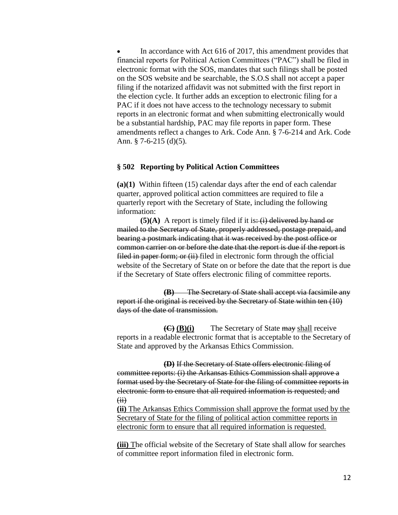In accordance with Act 616 of 2017, this amendment provides that financial reports for Political Action Committees ("PAC") shall be filed in electronic format with the SOS, mandates that such filings shall be posted on the SOS website and be searchable, the S.O.S shall not accept a paper filing if the notarized affidavit was not submitted with the first report in the election cycle. It further adds an exception to electronic filing for a PAC if it does not have access to the technology necessary to submit reports in an electronic format and when submitting electronically would be a substantial hardship, PAC may file reports in paper form. These amendments reflect a changes to Ark. Code Ann. § 7-6-214 and Ark. Code Ann. § 7-6-215 (d)(5).

#### **§ 502 Reporting by Political Action Committees**

**(a)(1)** Within fifteen (15) calendar days after the end of each calendar quarter, approved political action committees are required to file a quarterly report with the Secretary of State, including the following information:

**(5)(A)** A report is timely filed if it is:  $(i)$  delivered by hand or mailed to the Secretary of State, properly addressed, postage prepaid, and bearing a postmark indicating that it was received by the post office or common carrier on or before the date that the report is due if the report is filed in paper form; or (ii) filed in electronic form through the official website of the Secretary of State on or before the date that the report is due if the Secretary of State offers electronic filing of committee reports.

**(B)** The Secretary of State shall accept via facsimile any report if the original is received by the Secretary of State within ten (10) days of the date of transmission.

**(C) (B)(i)** The Secretary of State may shall receive reports in a readable electronic format that is acceptable to the Secretary of State and approved by the Arkansas Ethics Commission.

**(D)** If the Secretary of State offers electronic filing of committee reports: (i) the Arkansas Ethics Commission shall approve a format used by the Secretary of State for the filing of committee reports in electronic form to ensure that all required information is requested; and  $(ii)$ 

**(ii)** The Arkansas Ethics Commission shall approve the format used by the Secretary of State for the filing of political action committee reports in electronic form to ensure that all required information is requested.

**(iii)** The official website of the Secretary of State shall allow for searches of committee report information filed in electronic form.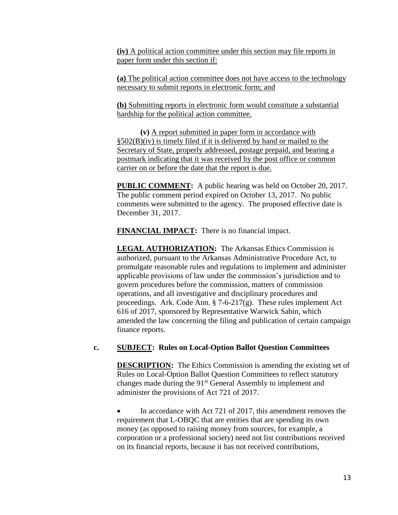**(iv)** A political action committee under this section may file reports in paper form under this section if:

**(a)** The political action committee does not have access to the technology necessary to submit reports in electronic form; and

**(b)** Submitting reports in electronic form would constitute a substantial hardship for the political action committee.

**(v)** A report submitted in paper form in accordance with §502(B)(iv) is timely filed if it is delivered by hand or mailed to the Secretary of State, properly addressed, postage prepaid, and bearing a postmark indicating that it was received by the post office or common carrier on or before the date that the report is due.

**PUBLIC COMMENT:** A public hearing was held on October 20, 2017. The public comment period expired on October 13, 2017. No public comments were submitted to the agency. The proposed effective date is December 31, 2017.

**FINANCIAL IMPACT:** There is no financial impact.

**LEGAL AUTHORIZATION:** The Arkansas Ethics Commission is authorized, pursuant to the Arkansas Administrative Procedure Act, to promulgate reasonable rules and regulations to implement and administer applicable provisions of law under the commission's jurisdiction and to govern procedures before the commission, matters of commission operations, and all investigative and disciplinary procedures and proceedings. Ark. Code Ann. § 7-6-217(g). These rules implement Act 616 of 2017, sponsored by Representative Warwick Sabin, which amended the law concerning the filing and publication of certain campaign finance reports.

#### **c. SUBJECT: Rules on Local-Option Ballot Question Committees**

**DESCRIPTION:** The Ethics Commission is amending the existing set of Rules on Local-Option Ballot Question Committees to reflect statutory changes made during the  $91<sup>st</sup>$  General Assembly to implement and administer the provisions of Act 721 of 2017.

 In accordance with Act 721 of 2017, this amendment removes the requirement that L-OBQC that are entities that are spending its own money (as opposed to raising money from sources, for example, a corporation or a professional society) need not list contributions received on its financial reports, because it has not received contributions,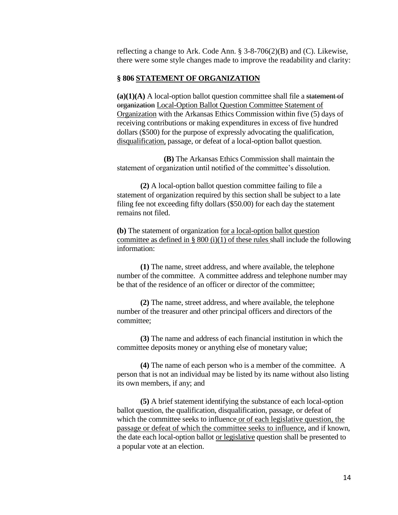reflecting a change to Ark. Code Ann. § 3-8-706(2)(B) and (C). Likewise, there were some style changes made to improve the readability and clarity:

#### **§ 806 STATEMENT OF ORGANIZATION**

**(a)(1)(A)** A local-option ballot question committee shall file a statement of organization Local-Option Ballot Question Committee Statement of Organization with the Arkansas Ethics Commission within five (5) days of receiving contributions or making expenditures in excess of five hundred dollars (\$500) for the purpose of expressly advocating the qualification, disqualification, passage, or defeat of a local-option ballot question.

**(B)** The Arkansas Ethics Commission shall maintain the statement of organization until notified of the committee's dissolution.

**(2)** A local-option ballot question committee failing to file a statement of organization required by this section shall be subject to a late filing fee not exceeding fifty dollars (\$50.00) for each day the statement remains not filed.

**(b)** The statement of organization for a local-option ballot question committee as defined in § 800 (i)(1) of these rules shall include the following information:

**(1)** The name, street address, and where available, the telephone number of the committee. A committee address and telephone number may be that of the residence of an officer or director of the committee;

**(2)** The name, street address, and where available, the telephone number of the treasurer and other principal officers and directors of the committee;

**(3)** The name and address of each financial institution in which the committee deposits money or anything else of monetary value;

**(4)** The name of each person who is a member of the committee. A person that is not an individual may be listed by its name without also listing its own members, if any; and

**(5)** A brief statement identifying the substance of each local-option ballot question, the qualification, disqualification, passage, or defeat of which the committee seeks to influence or of each legislative question, the passage or defeat of which the committee seeks to influence, and if known, the date each local-option ballot or legislative question shall be presented to a popular vote at an election.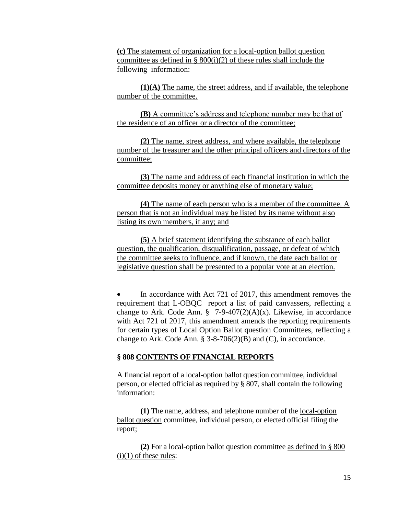**(c)** The statement of organization for a local-option ballot question committee as defined in §  $800(i)(2)$  of these rules shall include the following information:

**(1)(A)** The name, the street address, and if available, the telephone number of the committee.

**(B)** A committee's address and telephone number may be that of the residence of an officer or a director of the committee;

**(2)** The name, street address, and where available, the telephone number of the treasurer and the other principal officers and directors of the committee;

**(3)** The name and address of each financial institution in which the committee deposits money or anything else of monetary value;

**(4)** The name of each person who is a member of the committee. A person that is not an individual may be listed by its name without also listing its own members, if any; and

**(5)** A brief statement identifying the substance of each ballot question, the qualification, disqualification, passage, or defeat of which the committee seeks to influence, and if known, the date each ballot or legislative question shall be presented to a popular vote at an election.

• In accordance with Act 721 of 2017, this amendment removes the requirement that L-OBQC report a list of paid canvassers, reflecting a change to Ark. Code Ann.  $\frac{8}{9}$  7-9-407(2)(A)(x). Likewise, in accordance with Act 721 of 2017, this amendment amends the reporting requirements for certain types of Local Option Ballot question Committees, reflecting a change to Ark. Code Ann.  $\S$  3-8-706(2)(B) and (C), in accordance.

#### **§ 808 CONTENTS OF FINANCIAL REPORTS**

A financial report of a local-option ballot question committee, individual person, or elected official as required by § 807, shall contain the following information:

**(1)** The name, address, and telephone number of the local-option ballot question committee, individual person, or elected official filing the report;

**(2)** For a local-option ballot question committee as defined in § 800  $(i)(1)$  of these rules: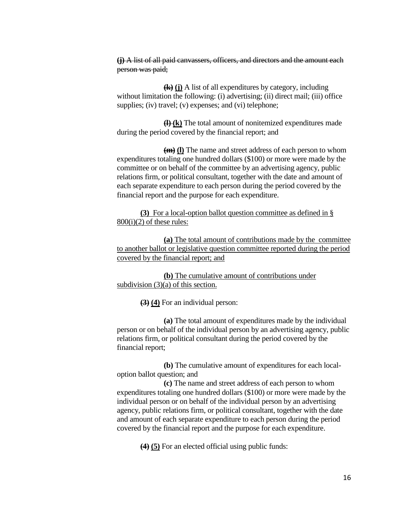**(j)** A list of all paid canvassers, officers, and directors and the amount each person was paid;

**(k) (j)** A list of all expenditures by category, including without limitation the following: (i) advertising; (ii) direct mail; (iii) office supplies; (iv) travel; (v) expenses; and (vi) telephone;

**(l) (k)** The total amount of nonitemized expenditures made during the period covered by the financial report; and

**(m) (l)** The name and street address of each person to whom expenditures totaling one hundred dollars (\$100) or more were made by the committee or on behalf of the committee by an advertising agency, public relations firm, or political consultant, together with the date and amount of each separate expenditure to each person during the period covered by the financial report and the purpose for each expenditure.

**(3)** For a local-option ballot question committee as defined in §  $800(i)(2)$  of these rules:

**(a)** The total amount of contributions made by the committee to another ballot or legislative question committee reported during the period covered by the financial report; and

**(b)** The cumulative amount of contributions under subdivision (3)(a) of this section.

**(3) (4)** For an individual person:

**(a)** The total amount of expenditures made by the individual person or on behalf of the individual person by an advertising agency, public relations firm, or political consultant during the period covered by the financial report;

**(b)** The cumulative amount of expenditures for each localoption ballot question; and

**(c)** The name and street address of each person to whom expenditures totaling one hundred dollars (\$100) or more were made by the individual person or on behalf of the individual person by an advertising agency, public relations firm, or political consultant, together with the date and amount of each separate expenditure to each person during the period covered by the financial report and the purpose for each expenditure.

**(4) (5)** For an elected official using public funds: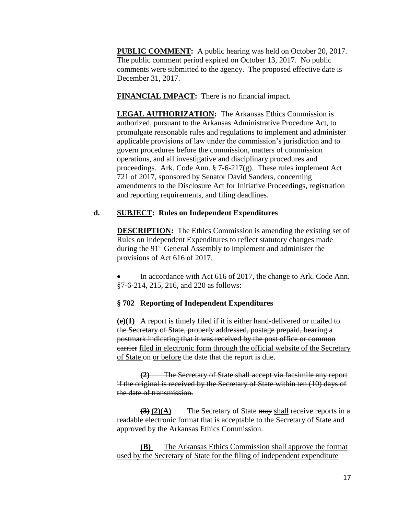**PUBLIC COMMENT:** A public hearing was held on October 20, 2017. The public comment period expired on October 13, 2017. No public comments were submitted to the agency. The proposed effective date is December 31, 2017.

**FINANCIAL IMPACT:** There is no financial impact.

**LEGAL AUTHORIZATION:** The Arkansas Ethics Commission is authorized, pursuant to the Arkansas Administrative Procedure Act, to promulgate reasonable rules and regulations to implement and administer applicable provisions of law under the commission's jurisdiction and to govern procedures before the commission, matters of commission operations, and all investigative and disciplinary procedures and proceedings. Ark. Code Ann. § 7-6-217(g). These rules implement Act 721 of 2017, sponsored by Senator David Sanders, concerning amendments to the Disclosure Act for Initiative Proceedings, registration and reporting requirements, and filing deadlines.

### **d. SUBJECT: Rules on Independent Expenditures**

**DESCRIPTION:** The Ethics Commission is amending the existing set of Rules on Independent Expenditures to reflect statutory changes made during the 91<sup>st</sup> General Assembly to implement and administer the provisions of Act 616 of 2017.

 In accordance with Act 616 of 2017, the change to Ark. Code Ann. §7-6-214, 215, 216, and 220 as follows:

### **§ 702 Reporting of Independent Expenditures**

**(e)(1)** A report is timely filed if it is either hand-delivered or mailed to the Secretary of State, properly addressed, postage prepaid, bearing a postmark indicating that it was received by the post office or common carrier filed in electronic form through the official website of the Secretary of State on or before the date that the report is due.

**(2)** The Secretary of State shall accept via facsimile any report if the original is received by the Secretary of State within ten (10) days of the date of transmission.

**(3) (2)(A)** The Secretary of State may shall receive reports in a readable electronic format that is acceptable to the Secretary of State and approved by the Arkansas Ethics Commission.

**(B)** The Arkansas Ethics Commission shall approve the format used by the Secretary of State for the filing of independent expenditure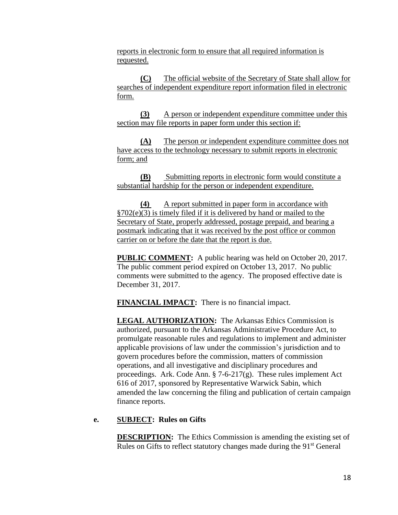reports in electronic form to ensure that all required information is requested.

**(C)** The official website of the Secretary of State shall allow for searches of independent expenditure report information filed in electronic form.

**(3)** A person or independent expenditure committee under this section may file reports in paper form under this section if:

**(A)** The person or independent expenditure committee does not have access to the technology necessary to submit reports in electronic form; and

**(B)** Submitting reports in electronic form would constitute a substantial hardship for the person or independent expenditure.

**(4)** A report submitted in paper form in accordance with §702(e)(3) is timely filed if it is delivered by hand or mailed to the Secretary of State, properly addressed, postage prepaid, and bearing a postmark indicating that it was received by the post office or common carrier on or before the date that the report is due.

**PUBLIC COMMENT:** A public hearing was held on October 20, 2017. The public comment period expired on October 13, 2017. No public comments were submitted to the agency. The proposed effective date is December 31, 2017.

**FINANCIAL IMPACT:** There is no financial impact.

**LEGAL AUTHORIZATION:** The Arkansas Ethics Commission is authorized, pursuant to the Arkansas Administrative Procedure Act, to promulgate reasonable rules and regulations to implement and administer applicable provisions of law under the commission's jurisdiction and to govern procedures before the commission, matters of commission operations, and all investigative and disciplinary procedures and proceedings. Ark. Code Ann. § 7-6-217(g). These rules implement Act 616 of 2017, sponsored by Representative Warwick Sabin, which amended the law concerning the filing and publication of certain campaign finance reports.

### **e. SUBJECT: Rules on Gifts**

**DESCRIPTION:** The Ethics Commission is amending the existing set of Rules on Gifts to reflect statutory changes made during the 91<sup>st</sup> General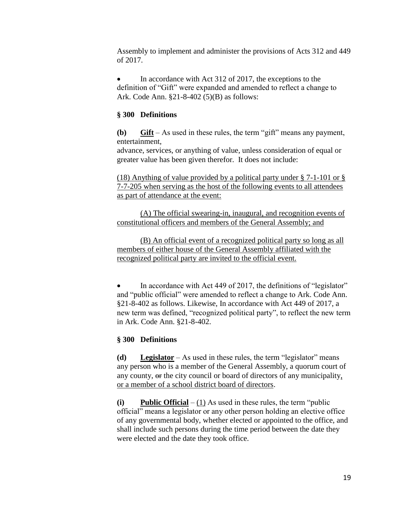Assembly to implement and administer the provisions of Acts 312 and 449 of 2017.

 In accordance with Act 312 of 2017, the exceptions to the definition of "Gift" were expanded and amended to reflect a change to Ark. Code Ann. §21-8-402 (5)(B) as follows:

### **§ 300 Definitions**

**(b) Gift** – As used in these rules, the term "gift" means any payment, entertainment,

advance, services, or anything of value, unless consideration of equal or greater value has been given therefor. It does not include:

(18) Anything of value provided by a political party under § 7-1-101 or § 7-7-205 when serving as the host of the following events to all attendees as part of attendance at the event:

(A) The official swearing-in, inaugural, and recognition events of constitutional officers and members of the General Assembly; and

(B) An official event of a recognized political party so long as all members of either house of the General Assembly affiliated with the recognized political party are invited to the official event.

 In accordance with Act 449 of 2017, the definitions of "legislator" and "public official" were amended to reflect a change to Ark. Code Ann. §21-8-402 as follows. Likewise, In accordance with Act 449 of 2017, a new term was defined, "recognized political party", to reflect the new term in Ark. Code Ann. §21-8-402.

### **§ 300 Definitions**

**(d) Legislator** – As used in these rules, the term "legislator" means any person who is a member of the General Assembly, a quorum court of any county, or the city council or board of directors of any municipality, or a member of a school district board of directors.

**(i) Public Official** – (1) As used in these rules, the term "public official" means a legislator or any other person holding an elective office of any governmental body, whether elected or appointed to the office, and shall include such persons during the time period between the date they were elected and the date they took office.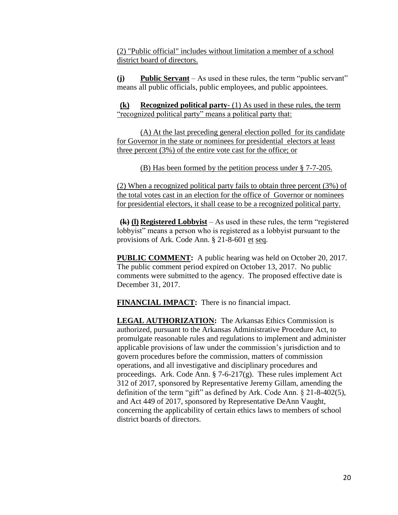(2) "Public official" includes without limitation a member of a school district board of directors.

**(j) Public Servant** – As used in these rules, the term "public servant" means all public officials, public employees, and public appointees.

**(k) Recognized political party-** (1) As used in these rules, the term "recognized political party" means a political party that:

(A) At the last preceding general election polled for its candidate for Governor in the state or nominees for presidential electors at least three percent (3%) of the entire vote cast for the office; or

(B) Has been formed by the petition process under § 7-7-205.

(2) When a recognized political party fails to obtain three percent (3%) of the total votes cast in an election for the office of Governor or nominees for presidential electors, it shall cease to be a recognized political party.

**(k) (l) Registered Lobbyist** – As used in these rules, the term "registered lobbyist" means a person who is registered as a lobbyist pursuant to the provisions of Ark. Code Ann. § 21-8-601 et seq.

**PUBLIC COMMENT:** A public hearing was held on October 20, 2017. The public comment period expired on October 13, 2017. No public comments were submitted to the agency. The proposed effective date is December 31, 2017.

**FINANCIAL IMPACT:** There is no financial impact.

**LEGAL AUTHORIZATION:** The Arkansas Ethics Commission is authorized, pursuant to the Arkansas Administrative Procedure Act, to promulgate reasonable rules and regulations to implement and administer applicable provisions of law under the commission's jurisdiction and to govern procedures before the commission, matters of commission operations, and all investigative and disciplinary procedures and proceedings. Ark. Code Ann. § 7-6-217(g). These rules implement Act 312 of 2017, sponsored by Representative Jeremy Gillam, amending the definition of the term "gift" as defined by Ark. Code Ann. § 21-8-402(5), and Act 449 of 2017, sponsored by Representative DeAnn Vaught, concerning the applicability of certain ethics laws to members of school district boards of directors.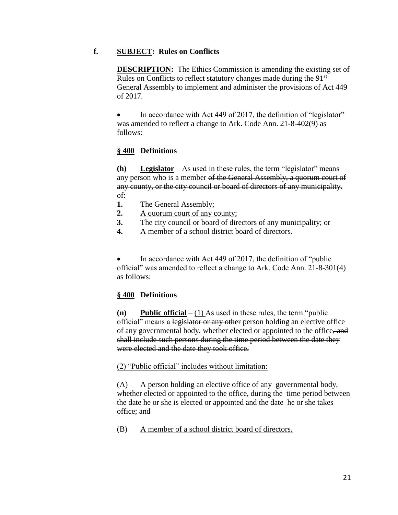### **f. SUBJECT: Rules on Conflicts**

**DESCRIPTION:** The Ethics Commission is amending the existing set of Rules on Conflicts to reflect statutory changes made during the 91<sup>st</sup> General Assembly to implement and administer the provisions of Act 449 of 2017.

 In accordance with Act 449 of 2017, the definition of "legislator" was amended to reflect a change to Ark. Code Ann. 21-8-402(9) as follows:

# **§ 400 Definitions**

**(h) Legislator** – As used in these rules, the term "legislator" means any person who is a member of the General Assembly, a quorum court of any county, or the city council or board of directors of any municipality. of:

- **1.** The General Assembly;
- **2.** A quorum court of any county;
- **3.** The city council or board of directors of any municipality; or
- **4.** A member of a school district board of directors.

 In accordance with Act 449 of 2017, the definition of "public official" was amended to reflect a change to Ark. Code Ann. 21-8-301(4) as follows:

# **§ 400 Definitions**

**(n) Public official** – (1) As used in these rules, the term "public official" means a legislator or any other person holding an elective office of any governmental body, whether elected or appointed to the office, and shall include such persons during the time period between the date they were elected and the date they took office.

### (2) "Public official" includes without limitation:

(A) A person holding an elective office of any governmental body, whether elected or appointed to the office, during the time period between the date he or she is elected or appointed and the date he or she takes office; and

(B) A member of a school district board of directors.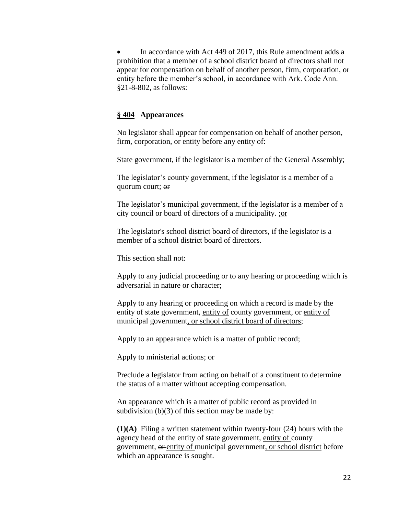In accordance with Act 449 of 2017, this Rule amendment adds a prohibition that a member of a school district board of directors shall not appear for compensation on behalf of another person, firm, corporation, or entity before the member's school, in accordance with Ark. Code Ann. §21-8-802, as follows:

#### **§ 404 Appearances**

No legislator shall appear for compensation on behalf of another person, firm, corporation, or entity before any entity of:

State government, if the legislator is a member of the General Assembly;

The legislator's county government, if the legislator is a member of a quorum court; or

The legislator's municipal government, if the legislator is a member of a city council or board of directors of a municipality. ;or

The legislator's school district board of directors, if the legislator is a member of a school district board of directors.

This section shall not:

Apply to any judicial proceeding or to any hearing or proceeding which is adversarial in nature or character;

Apply to any hearing or proceeding on which a record is made by the entity of state government, entity of county government, or entity of municipal government, or school district board of directors;

Apply to an appearance which is a matter of public record;

Apply to ministerial actions; or

Preclude a legislator from acting on behalf of a constituent to determine the status of a matter without accepting compensation.

An appearance which is a matter of public record as provided in subdivision  $(b)(3)$  of this section may be made by:

**(1)(A)** Filing a written statement within twenty-four (24) hours with the agency head of the entity of state government, entity of county government, or entity of municipal government, or school district before which an appearance is sought.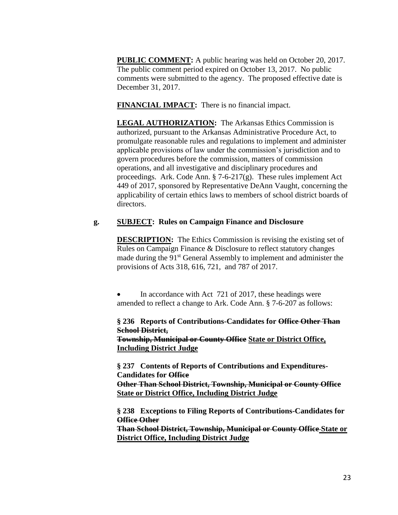**PUBLIC COMMENT:** A public hearing was held on October 20, 2017. The public comment period expired on October 13, 2017. No public comments were submitted to the agency. The proposed effective date is December 31, 2017.

**FINANCIAL IMPACT:** There is no financial impact.

**LEGAL AUTHORIZATION:** The Arkansas Ethics Commission is authorized, pursuant to the Arkansas Administrative Procedure Act, to promulgate reasonable rules and regulations to implement and administer applicable provisions of law under the commission's jurisdiction and to govern procedures before the commission, matters of commission operations, and all investigative and disciplinary procedures and proceedings. Ark. Code Ann.  $\S$  7-6-217(g). These rules implement Act 449 of 2017, sponsored by Representative DeAnn Vaught, concerning the applicability of certain ethics laws to members of school district boards of directors.

# **g. SUBJECT: Rules on Campaign Finance and Disclosure**

**DESCRIPTION:** The Ethics Commission is revising the existing set of Rules on Campaign Finance & Disclosure to reflect statutory changes made during the 91<sup>st</sup> General Assembly to implement and administer the provisions of Acts 318, 616, 721, and 787 of 2017.

• In accordance with Act 721 of 2017, these headings were amended to reflect a change to Ark. Code Ann. § 7-6-207 as follows:

**§ 236 Reports of Contributions-Candidates for Office Other Than School District, Township, Municipal or County Office State or District Office, Including District Judge**

**§ 237 Contents of Reports of Contributions and Expenditures-Candidates for Office Other Than School District, Township, Municipal or County Office State or District Office, Including District Judge**

**§ 238 Exceptions to Filing Reports of Contributions-Candidates for Office Other**

**Than School District, Township, Municipal or County Office State or District Office, Including District Judge**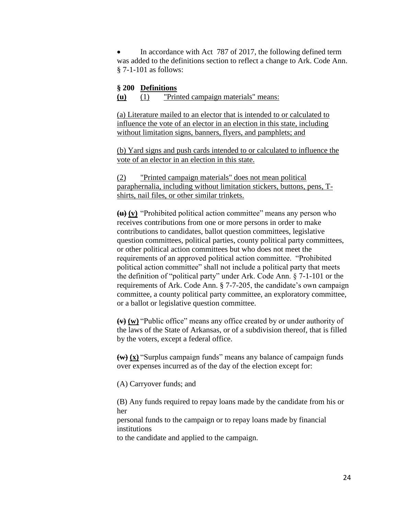In accordance with Act 787 of 2017, the following defined term was added to the definitions section to reflect a change to Ark. Code Ann. § 7-1-101 as follows:

#### **§ 200 Definitions**

**(u)** (1) "Printed campaign materials" means:

(a) Literature mailed to an elector that is intended to or calculated to influence the vote of an elector in an election in this state, including without limitation signs, banners, flyers, and pamphlets; and

(b) Yard signs and push cards intended to or calculated to influence the vote of an elector in an election in this state.

(2) "Printed campaign materials" does not mean political paraphernalia, including without limitation stickers, buttons, pens, Tshirts, nail files, or other similar trinkets.

**(u) (v)** "Prohibited political action committee" means any person who receives contributions from one or more persons in order to make contributions to candidates, ballot question committees, legislative question committees, political parties, county political party committees, or other political action committees but who does not meet the requirements of an approved political action committee. "Prohibited political action committee" shall not include a political party that meets the definition of "political party" under Ark. Code Ann. § 7-1-101 or the requirements of Ark. Code Ann. § 7-7-205, the candidate's own campaign committee, a county political party committee, an exploratory committee, or a ballot or legislative question committee.

**(v) (w)** "Public office" means any office created by or under authority of the laws of the State of Arkansas, or of a subdivision thereof, that is filled by the voters, except a federal office.

**(w) (x)** "Surplus campaign funds" means any balance of campaign funds over expenses incurred as of the day of the election except for:

(A) Carryover funds; and

(B) Any funds required to repay loans made by the candidate from his or her

personal funds to the campaign or to repay loans made by financial institutions

to the candidate and applied to the campaign.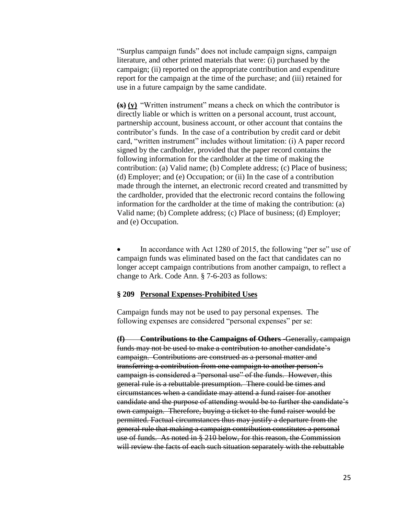"Surplus campaign funds" does not include campaign signs, campaign literature, and other printed materials that were: (i) purchased by the campaign; (ii) reported on the appropriate contribution and expenditure report for the campaign at the time of the purchase; and (iii) retained for use in a future campaign by the same candidate.

**(x) (y)** "Written instrument" means a check on which the contributor is directly liable or which is written on a personal account, trust account, partnership account, business account, or other account that contains the contributor's funds. In the case of a contribution by credit card or debit card, "written instrument" includes without limitation: (i) A paper record signed by the cardholder, provided that the paper record contains the following information for the cardholder at the time of making the contribution: (a) Valid name; (b) Complete address; (c) Place of business; (d) Employer; and (e) Occupation; or (ii) In the case of a contribution made through the internet, an electronic record created and transmitted by the cardholder, provided that the electronic record contains the following information for the cardholder at the time of making the contribution: (a) Valid name; (b) Complete address; (c) Place of business; (d) Employer; and (e) Occupation.

 In accordance with Act 1280 of 2015, the following "per se" use of campaign funds was eliminated based on the fact that candidates can no longer accept campaign contributions from another campaign, to reflect a change to Ark. Code Ann. § 7-6-203 as follows:

#### **§ 209 Personal Expenses-Prohibited Uses**

Campaign funds may not be used to pay personal expenses. The following expenses are considered "personal expenses" per se:

**(f) Contributions to the Campaigns of Others -**Generally, campaign funds may not be used to make a contribution to another candidate's campaign. Contributions are construed as a personal matter and transferring a contribution from one campaign to another person's campaign is considered a "personal use" of the funds. However, this general rule is a rebuttable presumption. There could be times and circumstances when a candidate may attend a fund raiser for another candidate and the purpose of attending would be to further the candidate's own campaign. Therefore, buying a ticket to the fund raiser would be permitted. Factual circumstances thus may justify a departure from the general rule that making a campaign contribution constitutes a personal use of funds. As noted in § 210 below, for this reason, the Commission will review the facts of each such situation separately with the rebuttable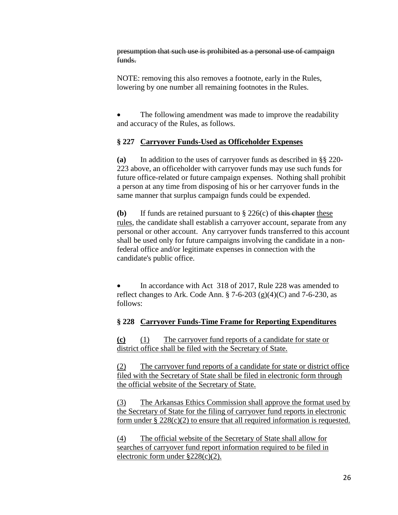presumption that such use is prohibited as a personal use of campaign funds.

NOTE: removing this also removes a footnote, early in the Rules, lowering by one number all remaining footnotes in the Rules.

 The following amendment was made to improve the readability and accuracy of the Rules, as follows.

# **§ 227 Carryover Funds-Used as Officeholder Expenses**

**(a)** In addition to the uses of carryover funds as described in §§ 220- 223 above, an officeholder with carryover funds may use such funds for future office-related or future campaign expenses. Nothing shall prohibit a person at any time from disposing of his or her carryover funds in the same manner that surplus campaign funds could be expended.

**(b)** If funds are retained pursuant to  $\S 226(c)$  of this chapter these rules, the candidate shall establish a carryover account, separate from any personal or other account. Any carryover funds transferred to this account shall be used only for future campaigns involving the candidate in a nonfederal office and/or legitimate expenses in connection with the candidate's public office.

 In accordance with Act 318 of 2017, Rule 228 was amended to reflect changes to Ark. Code Ann.  $\S$  7-6-203 (g)(4)(C) and 7-6-230, as follows:

# **§ 228 Carryover Funds-Time Frame for Reporting Expenditures**

**(c)** (1) The carryover fund reports of a candidate for state or district office shall be filed with the Secretary of State.

(2) The carryover fund reports of a candidate for state or district office filed with the Secretary of State shall be filed in electronic form through the official website of the Secretary of State.

(3) The Arkansas Ethics Commission shall approve the format used by the Secretary of State for the filing of carryover fund reports in electronic form under  $\S 228(c)(2)$  to ensure that all required information is requested.

(4) The official website of the Secretary of State shall allow for searches of carryover fund report information required to be filed in electronic form under §228(c)(2).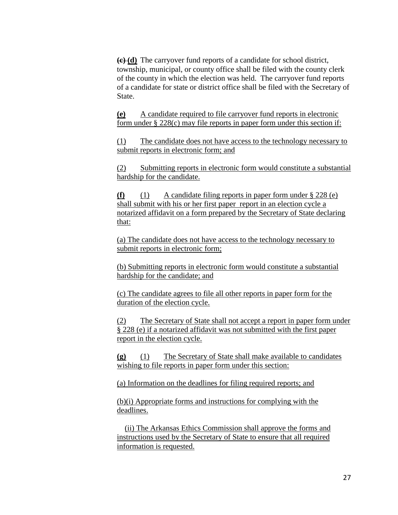**(c) (d)** The carryover fund reports of a candidate for school district, township, municipal, or county office shall be filed with the county clerk of the county in which the election was held. The carryover fund reports of a candidate for state or district office shall be filed with the Secretary of State.

**(e)** A candidate required to file carryover fund reports in electronic form under § 228(c) may file reports in paper form under this section if:

(1) The candidate does not have access to the technology necessary to submit reports in electronic form; and

(2) Submitting reports in electronic form would constitute a substantial hardship for the candidate.

**(f)** (1) A candidate filing reports in paper form under § 228 (e) shall submit with his or her first paper report in an election cycle a notarized affidavit on a form prepared by the Secretary of State declaring that:

(a) The candidate does not have access to the technology necessary to submit reports in electronic form;

(b) Submitting reports in electronic form would constitute a substantial hardship for the candidate; and

(c) The candidate agrees to file all other reports in paper form for the duration of the election cycle.

(2) The Secretary of State shall not accept a report in paper form under § 228 (e) if a notarized affidavit was not submitted with the first paper report in the election cycle.

**(g)** (1) The Secretary of State shall make available to candidates wishing to file reports in paper form under this section:

(a) Information on the deadlines for filing required reports; and

(b)(i) Appropriate forms and instructions for complying with the deadlines.

 (ii) The Arkansas Ethics Commission shall approve the forms and instructions used by the Secretary of State to ensure that all required information is requested.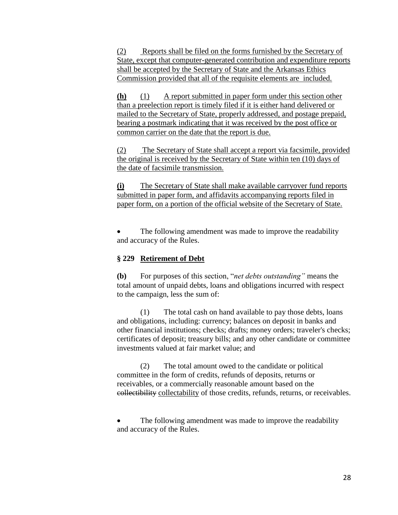(2) Reports shall be filed on the forms furnished by the Secretary of State, except that computer-generated contribution and expenditure reports shall be accepted by the Secretary of State and the Arkansas Ethics Commission provided that all of the requisite elements are included.

**(h)** (1) A report submitted in paper form under this section other than a preelection report is timely filed if it is either hand delivered or mailed to the Secretary of State, properly addressed, and postage prepaid, bearing a postmark indicating that it was received by the post office or common carrier on the date that the report is due.

(2) The Secretary of State shall accept a report via facsimile, provided the original is received by the Secretary of State within ten (10) days of the date of facsimile transmission.

**(i)** The Secretary of State shall make available carryover fund reports submitted in paper form, and affidavits accompanying reports filed in paper form, on a portion of the official website of the Secretary of State.

 The following amendment was made to improve the readability and accuracy of the Rules.

### **§ 229 Retirement of Debt**

**(b)** For purposes of this section, "*net debts outstanding"* means the total amount of unpaid debts, loans and obligations incurred with respect to the campaign, less the sum of:

(1) The total cash on hand available to pay those debts, loans and obligations, including: currency; balances on deposit in banks and other financial institutions; checks; drafts; money orders; traveler's checks; certificates of deposit; treasury bills; and any other candidate or committee investments valued at fair market value; and

(2) The total amount owed to the candidate or political committee in the form of credits, refunds of deposits, returns or receivables, or a commercially reasonable amount based on the collectibility collectability of those credits, refunds, returns, or receivables.

 The following amendment was made to improve the readability and accuracy of the Rules.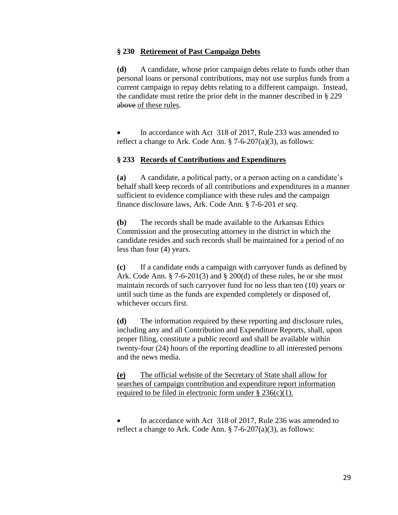#### **§ 230 Retirement of Past Campaign Debts**

**(d)** A candidate, whose prior campaign debts relate to funds other than personal loans or personal contributions, may not use surplus funds from a current campaign to repay debts relating to a different campaign. Instead, the candidate must retire the prior debt in the manner described in § 229 above of these rules.

 In accordance with Act 318 of 2017, Rule 233 was amended to reflect a change to Ark. Code Ann.  $\S 7-6-207(a)(3)$ , as follows:

### **§ 233 Records of Contributions and Expenditures**

**(a)** A candidate, a political party, or a person acting on a candidate's behalf shall keep records of all contributions and expenditures in a manner sufficient to evidence compliance with these rules and the campaign finance disclosure laws, Ark. Code Ann. § 7-6-201 *et seq.*

**(b)** The records shall be made available to the Arkansas Ethics Commission and the prosecuting attorney in the district in which the candidate resides and such records shall be maintained for a period of no less than four (4) years.

**(c)** If a candidate ends a campaign with carryover funds as defined by Ark. Code Ann.  $\S$  7-6-201(3) and  $\S$  200(d) of these rules, he or she must maintain records of such carryover fund for no less than ten (10) years or until such time as the funds are expended completely or disposed of, whichever occurs first.

**(d)** The information required by these reporting and disclosure rules, including any and all Contribution and Expenditure Reports, shall, upon proper filing, constitute a public record and shall be available within twenty-four (24) hours of the reporting deadline to all interested persons and the news media.

**(e)** The official website of the Secretary of State shall allow for searches of campaign contribution and expenditure report information required to be filed in electronic form under  $\S 236(c)(1)$ .

 In accordance with Act 318 of 2017, Rule 236 was amended to reflect a change to Ark. Code Ann.  $\S 7-6-207(a)(3)$ , as follows: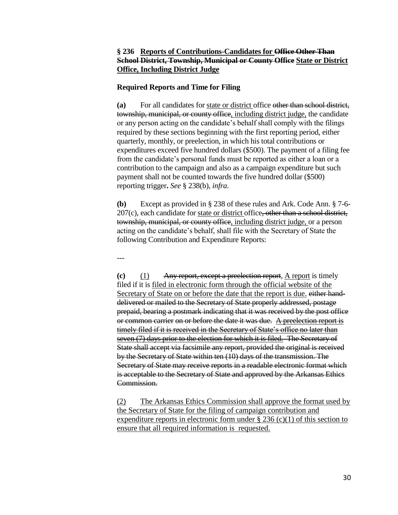### **§ 236 Reports of Contributions-Candidates for Office Other Than School District, Township, Municipal or County Office State or District Office, Including District Judge**

#### **Required Reports and Time for Filing**

**(a)** For all candidates for state or district office other than school district, township, municipal, or county office, including district judge, the candidate or any person acting on the candidate's behalf shall comply with the filings required by these sections beginning with the first reporting period, either quarterly, monthly, or preelection, in which his total contributions or expenditures exceed five hundred dollars (\$500). The payment of a filing fee from the candidate's personal funds must be reported as either a loan or a contribution to the campaign and also as a campaign expenditure but such payment shall not be counted towards the five hundred dollar (\$500) reporting trigger**.** *See* § 238(b), *infra*.

**(b)** Except as provided in § 238 of these rules and Ark. Code Ann. § 7-6-  $207(c)$ , each candidate for state or district office, other than a school district, township, municipal, or county office, including district judge, or a person acting on the candidate's behalf, shall file with the Secretary of State the following Contribution and Expenditure Reports:

---

**(c)** (1) Any report, except a preelection report, A report is timely filed if it is filed in electronic form through the official website of the Secretary of State on or before the date that the report is due. either handdelivered or mailed to the Secretary of State properly addressed, postage prepaid, bearing a postmark indicating that it was received by the post office or common carrier on or before the date it was due. A preelection report is timely filed if it is received in the Secretary of State's office no later than seven (7) days prior to the election for which it is filed. The Secretary of State shall accept via facsimile any report, provided the original is received by the Secretary of State within ten (10) days of the transmission. The Secretary of State may receive reports in a readable electronic format which is acceptable to the Secretary of State and approved by the Arkansas Ethics Commission.

(2) The Arkansas Ethics Commission shall approve the format used by the Secretary of State for the filing of campaign contribution and expenditure reports in electronic form under  $\S 236$  (c)(1) of this section to ensure that all required information is requested.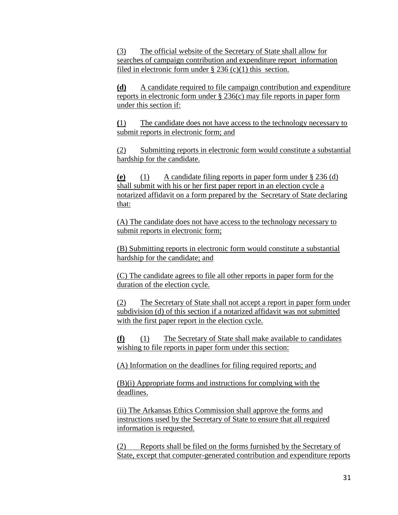(3) The official website of the Secretary of State shall allow for searches of campaign contribution and expenditure report information filed in electronic form under  $\S 236$  (c)(1) this section.

**(d)** A candidate required to file campaign contribution and expenditure reports in electronic form under § 236(c) may file reports in paper form under this section if:

**(**1) The candidate does not have access to the technology necessary to submit reports in electronic form; and

(2) Submitting reports in electronic form would constitute a substantial hardship for the candidate.

**(e)** (1) A candidate filing reports in paper form under § 236 (d) shall submit with his or her first paper report in an election cycle a notarized affidavit on a form prepared by the Secretary of State declaring that:

(A) The candidate does not have access to the technology necessary to submit reports in electronic form;

(B) Submitting reports in electronic form would constitute a substantial hardship for the candidate; and

(C) The candidate agrees to file all other reports in paper form for the duration of the election cycle.

(2) The Secretary of State shall not accept a report in paper form under subdivision (d) of this section if a notarized affidavit was not submitted with the first paper report in the election cycle.

**(f)** (1) The Secretary of State shall make available to candidates wishing to file reports in paper form under this section:

(A) Information on the deadlines for filing required reports; and

(B)(i) Appropriate forms and instructions for complying with the deadlines.

(ii) The Arkansas Ethics Commission shall approve the forms and instructions used by the Secretary of State to ensure that all required information is requested.

(2) Reports shall be filed on the forms furnished by the Secretary of State, except that computer-generated contribution and expenditure reports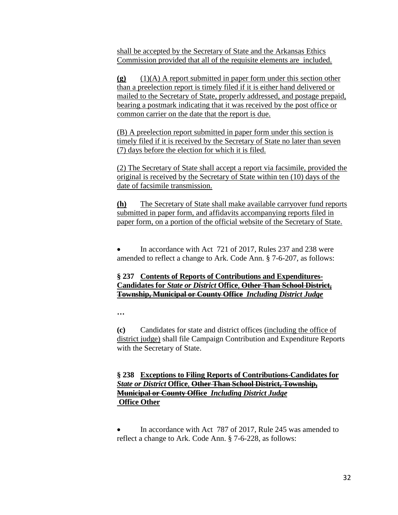shall be accepted by the Secretary of State and the Arkansas Ethics Commission provided that all of the requisite elements are included.

**(g)** (1)(A) A report submitted in paper form under this section other than a preelection report is timely filed if it is either hand delivered or mailed to the Secretary of State, properly addressed, and postage prepaid, bearing a postmark indicating that it was received by the post office or common carrier on the date that the report is due.

(B) A preelection report submitted in paper form under this section is timely filed if it is received by the Secretary of State no later than seven (7) days before the election for which it is filed.

(2) The Secretary of State shall accept a report via facsimile, provided the original is received by the Secretary of State within ten (10) days of the date of facsimile transmission.

**(h)** The Secretary of State shall make available carryover fund reports submitted in paper form, and affidavits accompanying reports filed in paper form, on a portion of the official website of the Secretary of State.

 In accordance with Act 721 of 2017, Rules 237 and 238 were amended to reflect a change to Ark. Code Ann. § 7-6-207, as follows:

# **§ 237 Contents of Reports of Contributions and Expenditures-Candidates for** *State or District* **Office**, **Other Than School District, Township, Municipal or County Office** *Including District Judge*

**…**

**(c)** Candidates for state and district offices (including the office of district judge) shall file Campaign Contribution and Expenditure Reports with the Secretary of State.

# **§ 238 Exceptions to Filing Reports of Contributions-Candidates for** *State or District* **Office**, **Other Than School District, Township, Municipal or County Office** *Including District Judge* **Office Other**

 In accordance with Act 787 of 2017, Rule 245 was amended to reflect a change to Ark. Code Ann. § 7-6-228, as follows: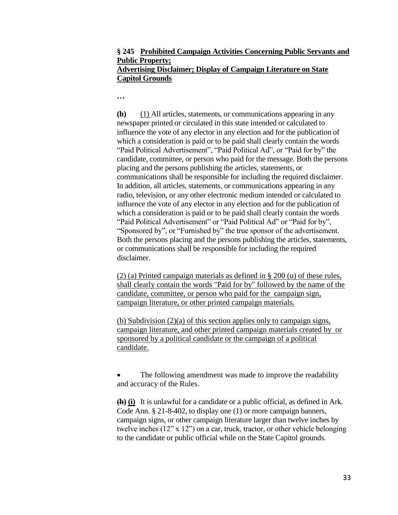### **§ 245 Prohibited Campaign Activities Concerning Public Servants and Public Property; Advertising Disclaimer; Display of Campaign Literature on State Capitol Grounds**

**…**

**(h)** (1) All articles, statements, or communications appearing in any newspaper printed or circulated in this state intended or calculated to influence the vote of any elector in any election and for the publication of which a consideration is paid or to be paid shall clearly contain the words "Paid Political Advertisement", "Paid Political Ad", or "Paid for by" the candidate, committee, or person who paid for the message. Both the persons placing and the persons publishing the articles, statements, or communications shall be responsible for including the required disclaimer. In addition, all articles, statements, or communications appearing in any radio, television, or any other electronic medium intended or calculated to influence the vote of any elector in any election and for the publication of which a consideration is paid or to be paid shall clearly contain the words "Paid Political Advertisement" or "Paid Political Ad" or "Paid for by", "Sponsored by", or "Furnished by" the true sponsor of the advertisement. Both the persons placing and the persons publishing the articles, statements, or communications shall be responsible for including the required disclaimer.

(2) (a) Printed campaign materials as defined in § 200 (u) of these rules, shall clearly contain the words "Paid for by" followed by the name of the candidate, committee, or person who paid for the campaign sign, campaign literature, or other printed campaign materials.

(b) Subdivision (2)(a) of this section applies only to campaign signs, campaign literature, and other printed campaign materials created by or sponsored by a political candidate or the campaign of a political candidate.

 The following amendment was made to improve the readability and accuracy of the Rules.

**(h) (i)** It is unlawful for a candidate or a public official, as defined in Ark. Code Ann. § 21-8-402, to display one (1) or more campaign banners, campaign signs, or other campaign literature larger than twelve inches by twelve inches (12" x 12") on a car, truck, tractor, or other vehicle belonging to the candidate or public official while on the State Capitol grounds.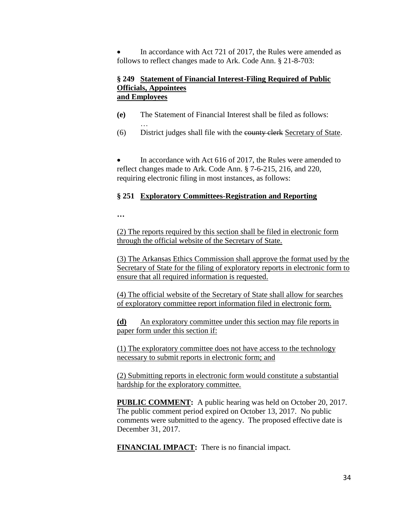In accordance with Act 721 of 2017, the Rules were amended as follows to reflect changes made to Ark. Code Ann. § 21-8-703:

#### **§ 249 Statement of Financial Interest-Filing Required of Public Officials, Appointees and Employees**

- **(e)** The Statement of Financial Interest shall be filed as follows:
- (6) District judges shall file with the county clerk Secretary of State.

 In accordance with Act 616 of 2017, the Rules were amended to reflect changes made to Ark. Code Ann. § 7-6-215, 216, and 220, requiring electronic filing in most instances, as follows:

#### **§ 251 Exploratory Committees**-**Registration and Reporting**

**…** 

…

(2) The reports required by this section shall be filed in electronic form through the official website of the Secretary of State.

(3) The Arkansas Ethics Commission shall approve the format used by the Secretary of State for the filing of exploratory reports in electronic form to ensure that all required information is requested.

(4) The official website of the Secretary of State shall allow for searches of exploratory committee report information filed in electronic form.

**(d)** An exploratory committee under this section may file reports in paper form under this section if:

(1) The exploratory committee does not have access to the technology necessary to submit reports in electronic form; and

(2) Submitting reports in electronic form would constitute a substantial hardship for the exploratory committee.

**PUBLIC COMMENT:** A public hearing was held on October 20, 2017. The public comment period expired on October 13, 2017. No public comments were submitted to the agency. The proposed effective date is December 31, 2017.

**FINANCIAL IMPACT:** There is no financial impact.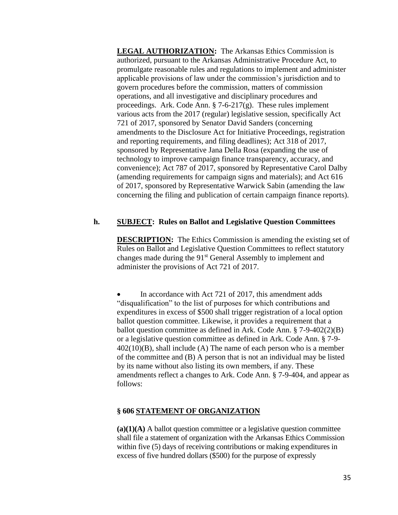**LEGAL AUTHORIZATION:** The Arkansas Ethics Commission is authorized, pursuant to the Arkansas Administrative Procedure Act, to promulgate reasonable rules and regulations to implement and administer applicable provisions of law under the commission's jurisdiction and to govern procedures before the commission, matters of commission operations, and all investigative and disciplinary procedures and proceedings. Ark. Code Ann.  $\S$  7-6-217(g). These rules implement various acts from the 2017 (regular) legislative session, specifically Act 721 of 2017, sponsored by Senator David Sanders (concerning amendments to the Disclosure Act for Initiative Proceedings, registration and reporting requirements, and filing deadlines); Act 318 of 2017, sponsored by Representative Jana Della Rosa (expanding the use of technology to improve campaign finance transparency, accuracy, and convenience); Act 787 of 2017, sponsored by Representative Carol Dalby (amending requirements for campaign signs and materials); and Act 616 of 2017, sponsored by Representative Warwick Sabin (amending the law concerning the filing and publication of certain campaign finance reports).

### **h. SUBJECT: Rules on Ballot and Legislative Question Committees**

**DESCRIPTION:** The Ethics Commission is amending the existing set of Rules on Ballot and Legislative Question Committees to reflect statutory changes made during the 91<sup>st</sup> General Assembly to implement and administer the provisions of Act 721 of 2017.

 In accordance with Act 721 of 2017, this amendment adds "disqualification" to the list of purposes for which contributions and expenditures in excess of \$500 shall trigger registration of a local option ballot question committee. Likewise, it provides a requirement that a ballot question committee as defined in Ark. Code Ann. § 7-9-402(2)(B) or a legislative question committee as defined in Ark. Code Ann. § 7-9-  $402(10)(B)$ , shall include (A) The name of each person who is a member of the committee and (B) A person that is not an individual may be listed by its name without also listing its own members, if any. These amendments reflect a changes to Ark. Code Ann. § 7-9-404, and appear as follows:

### **§ 606 STATEMENT OF ORGANIZATION**

**(a)(1)(A)** A ballot question committee or a legislative question committee shall file a statement of organization with the Arkansas Ethics Commission within five (5) days of receiving contributions or making expenditures in excess of five hundred dollars (\$500) for the purpose of expressly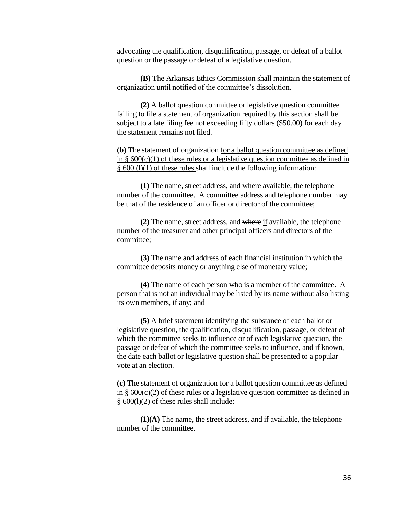advocating the qualification, disqualification, passage, or defeat of a ballot question or the passage or defeat of a legislative question.

**(B)** The Arkansas Ethics Commission shall maintain the statement of organization until notified of the committee's dissolution.

**(2)** A ballot question committee or legislative question committee failing to file a statement of organization required by this section shall be subject to a late filing fee not exceeding fifty dollars (\$50.00) for each day the statement remains not filed.

**(b)** The statement of organization for a ballot question committee as defined in  $\S$  600(c)(1) of these rules or a legislative question committee as defined in § 600 (l)(1) of these rules shall include the following information:

**(1)** The name, street address, and where available, the telephone number of the committee. A committee address and telephone number may be that of the residence of an officer or director of the committee;

**(2)** The name, street address, and where if available, the telephone number of the treasurer and other principal officers and directors of the committee;

**(3)** The name and address of each financial institution in which the committee deposits money or anything else of monetary value;

**(4)** The name of each person who is a member of the committee. A person that is not an individual may be listed by its name without also listing its own members, if any; and

**(5)** A brief statement identifying the substance of each ballot or legislative question, the qualification, disqualification, passage, or defeat of which the committee seeks to influence or of each legislative question, the passage or defeat of which the committee seeks to influence, and if known, the date each ballot or legislative question shall be presented to a popular vote at an election.

**(c)** The statement of organization for a ballot question committee as defined in  $\S$  600(c)(2) of these rules or a legislative question committee as defined in § 600(l)(2) of these rules shall include:

**(1)(A)** The name, the street address, and if available, the telephone number of the committee.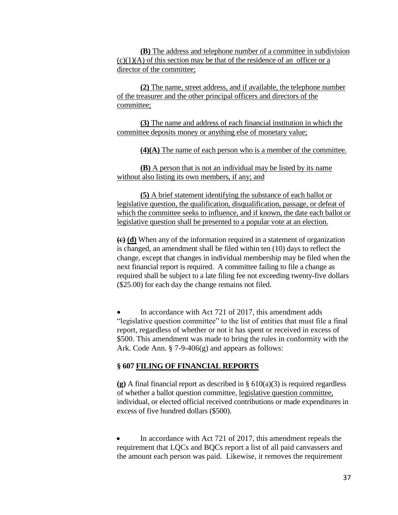**(B)** The address and telephone number of a committee in subdivision  $(c)(1)(A)$  of this section may be that of the residence of an officer or a director of the committee;

**(2)** The name, street address, and if available, the telephone number of the treasurer and the other principal officers and directors of the committee;

**(3)** The name and address of each financial institution in which the committee deposits money or anything else of monetary value;

**(4)(A)** The name of each person who is a member of the committee.

**(B)** A person that is not an individual may be listed by its name without also listing its own members, if any; and

**(5)** A brief statement identifying the substance of each ballot or legislative question, the qualification, disqualification, passage, or defeat of which the committee seeks to influence, and if known, the date each ballot or legislative question shall be presented to a popular vote at an election.

**(c) (d)** When any of the information required in a statement of organization is changed, an amendment shall be filed within ten (10) days to reflect the change, except that changes in individual membership may be filed when the next financial report is required. A committee failing to file a change as required shall be subject to a late filing fee not exceeding twenty-five dollars (\$25.00) for each day the change remains not filed.

 In accordance with Act 721 of 2017, this amendment adds "legislative question committee" to the list of entities that must file a final report, regardless of whether or not it has spent or received in excess of \$500. This amendment was made to bring the rules in conformity with the Ark. Code Ann. § 7-9-406(g) and appears as follows:

## **§ 607 FILING OF FINANCIAL REPORTS**

**(g)** A final financial report as described in § 610(a)(3) is required regardless of whether a ballot question committee, legislative question committee, individual, or elected official received contributions or made expenditures in excess of five hundred dollars (\$500).

 In accordance with Act 721 of 2017, this amendment repeals the requirement that LQCs and BQCs report a list of all paid canvassers and the amount each person was paid. Likewise, it removes the requirement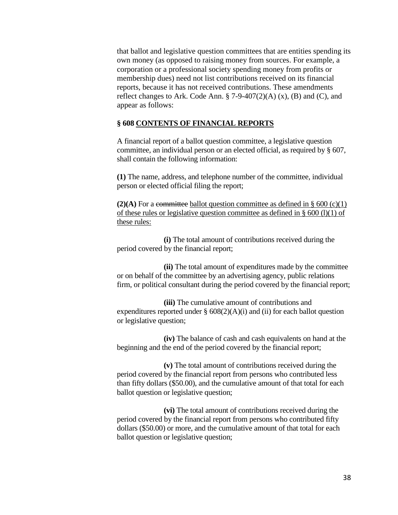that ballot and legislative question committees that are entities spending its own money (as opposed to raising money from sources. For example, a corporation or a professional society spending money from profits or membership dues) need not list contributions received on its financial reports, because it has not received contributions. These amendments reflect changes to Ark. Code Ann.  $\S$  7-9-407(2)(A) (x), (B) and (C), and appear as follows:

### **§ 608 CONTENTS OF FINANCIAL REPORTS**

A financial report of a ballot question committee, a legislative question committee, an individual person or an elected official, as required by § 607, shall contain the following information:

**(1)** The name, address, and telephone number of the committee, individual person or elected official filing the report;

**(2)(A)** For a committee ballot question committee as defined in  $\S 600 \, (c)(1)$ of these rules or legislative question committee as defined in  $\S$  600 (l)(1) of these rules:

**(i)** The total amount of contributions received during the period covered by the financial report;

**(ii)** The total amount of expenditures made by the committee or on behalf of the committee by an advertising agency, public relations firm, or political consultant during the period covered by the financial report;

**(iii)** The cumulative amount of contributions and expenditures reported under  $\S$  608(2)(A)(i) and (ii) for each ballot question or legislative question;

**(iv)** The balance of cash and cash equivalents on hand at the beginning and the end of the period covered by the financial report;

**(v)** The total amount of contributions received during the period covered by the financial report from persons who contributed less than fifty dollars (\$50.00), and the cumulative amount of that total for each ballot question or legislative question;

**(vi)** The total amount of contributions received during the period covered by the financial report from persons who contributed fifty dollars (\$50.00) or more, and the cumulative amount of that total for each ballot question or legislative question;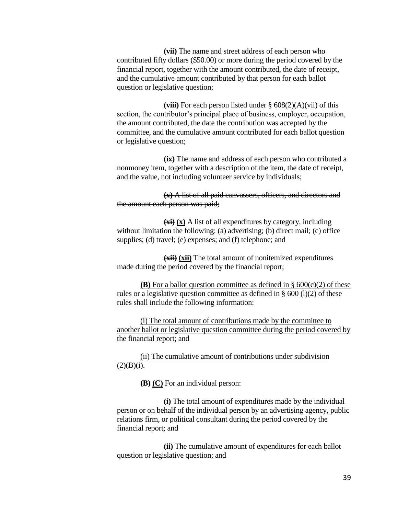**(vii)** The name and street address of each person who contributed fifty dollars (\$50.00) or more during the period covered by the financial report, together with the amount contributed, the date of receipt, and the cumulative amount contributed by that person for each ballot question or legislative question;

**(viii)** For each person listed under § 608(2)(A)(vii) of this section, the contributor's principal place of business, employer, occupation, the amount contributed, the date the contribution was accepted by the committee, and the cumulative amount contributed for each ballot question or legislative question;

**(ix)** The name and address of each person who contributed a nonmoney item, together with a description of the item, the date of receipt, and the value, not including volunteer service by individuals;

**(x)** A list of all paid canvassers, officers, and directors and the amount each person was paid;

**(xi) (x)** A list of all expenditures by category, including without limitation the following: (a) advertising; (b) direct mail; (c) office supplies; (d) travel; (e) expenses; and (f) telephone; and

**(xii) (xii)** The total amount of nonitemized expenditures made during the period covered by the financial report;

**(B)** For a ballot question committee as defined in  $\S 600(c)(2)$  of these rules or a legislative question committee as defined in § 600 (l)(2) of these rules shall include the following information:

(i) The total amount of contributions made by the committee to another ballot or legislative question committee during the period covered by the financial report; and

(ii) The cumulative amount of contributions under subdivision  $(2)(B)(i)$ .

**(B) (C)** For an individual person:

**(i)** The total amount of expenditures made by the individual person or on behalf of the individual person by an advertising agency, public relations firm, or political consultant during the period covered by the financial report; and

**(ii)** The cumulative amount of expenditures for each ballot question or legislative question; and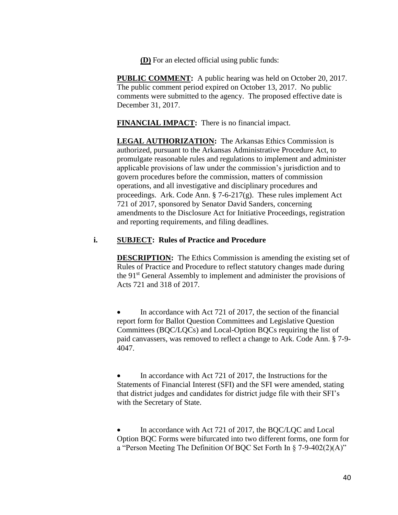**(D)** For an elected official using public funds:

**PUBLIC COMMENT:** A public hearing was held on October 20, 2017. The public comment period expired on October 13, 2017. No public comments were submitted to the agency. The proposed effective date is December 31, 2017.

**FINANCIAL IMPACT:** There is no financial impact.

**LEGAL AUTHORIZATION:** The Arkansas Ethics Commission is authorized, pursuant to the Arkansas Administrative Procedure Act, to promulgate reasonable rules and regulations to implement and administer applicable provisions of law under the commission's jurisdiction and to govern procedures before the commission, matters of commission operations, and all investigative and disciplinary procedures and proceedings. Ark. Code Ann. § 7-6-217(g). These rules implement Act 721 of 2017, sponsored by Senator David Sanders, concerning amendments to the Disclosure Act for Initiative Proceedings, registration and reporting requirements, and filing deadlines.

## **i. SUBJECT: Rules of Practice and Procedure**

**DESCRIPTION:** The Ethics Commission is amending the existing set of Rules of Practice and Procedure to reflect statutory changes made during the 91<sup>st</sup> General Assembly to implement and administer the provisions of Acts 721 and 318 of 2017.

 In accordance with Act 721 of 2017, the section of the financial report form for Ballot Question Committees and Legislative Question Committees (BQC/LQCs) and Local-Option BQCs requiring the list of paid canvassers, was removed to reflect a change to Ark. Code Ann. § 7-9- 4047.

 In accordance with Act 721 of 2017, the Instructions for the Statements of Financial Interest (SFI) and the SFI were amended, stating that district judges and candidates for district judge file with their SFI's with the Secretary of State.

 In accordance with Act 721 of 2017, the BQC/LQC and Local Option BQC Forms were bifurcated into two different forms, one form for a "Person Meeting The Definition Of BQC Set Forth In § 7-9-402(2)(A)"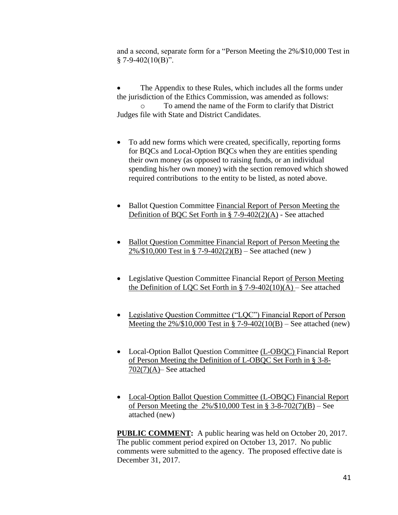and a second, separate form for a "Person Meeting the 2%/\$10,000 Test in  $§ 7-9-402(10(B))$ .

 The Appendix to these Rules, which includes all the forms under the jurisdiction of the Ethics Commission, was amended as follows: To amend the name of the Form to clarify that District Judges file with State and District Candidates.

- To add new forms which were created, specifically, reporting forms for BQCs and Local-Option BQCs when they are entities spending their own money (as opposed to raising funds, or an individual spending his/her own money) with the section removed which showed required contributions to the entity to be listed, as noted above.
- Ballot Question Committee Financial Report of Person Meeting the Definition of BQC Set Forth in § 7-9-402(2)(A) - See attached
- Ballot Question Committee Financial Report of Person Meeting the 2%/\$10,000 Test in § 7-9-402(2)(B) – See attached (new )
- Legislative Question Committee Financial Report of Person Meeting the Definition of LOC Set Forth in  $\S$  7-9-402(10)(A) – See attached
- Legislative Question Committee ("LQC") Financial Report of Person Meeting the  $2\%/\$10,000$  Test in § 7-9-402(10(B) – See attached (new)
- Local-Option Ballot Question Committee (L-OBQC) Financial Report of Person Meeting the Definition of L-OBQC Set Forth in § 3-8- 702(7)(A)– See attached
- Local-Option Ballot Question Committee (L-OBQC) Financial Report of Person Meeting the 2%/\$10,000 Test in § 3-8-702(7)(B) – See attached (new)

**PUBLIC COMMENT:** A public hearing was held on October 20, 2017. The public comment period expired on October 13, 2017. No public comments were submitted to the agency. The proposed effective date is December 31, 2017.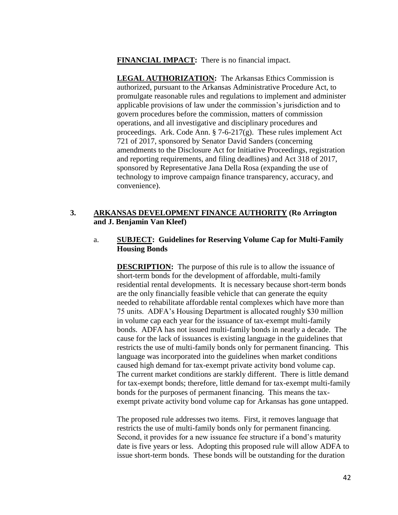**FINANCIAL IMPACT:** There is no financial impact.

**LEGAL AUTHORIZATION:** The Arkansas Ethics Commission is authorized, pursuant to the Arkansas Administrative Procedure Act, to promulgate reasonable rules and regulations to implement and administer applicable provisions of law under the commission's jurisdiction and to govern procedures before the commission, matters of commission operations, and all investigative and disciplinary procedures and proceedings. Ark. Code Ann. § 7-6-217(g). These rules implement Act 721 of 2017, sponsored by Senator David Sanders (concerning amendments to the Disclosure Act for Initiative Proceedings, registration and reporting requirements, and filing deadlines) and Act 318 of 2017, sponsored by Representative Jana Della Rosa (expanding the use of technology to improve campaign finance transparency, accuracy, and convenience).

# **3. ARKANSAS DEVELOPMENT FINANCE AUTHORITY (Ro Arrington and J. Benjamin Van Kleef)**

## a. **SUBJECT: Guidelines for Reserving Volume Cap for Multi-Family Housing Bonds**

**DESCRIPTION:** The purpose of this rule is to allow the issuance of short-term bonds for the development of affordable, multi-family residential rental developments. It is necessary because short-term bonds are the only financially feasible vehicle that can generate the equity needed to rehabilitate affordable rental complexes which have more than 75 units. ADFA's Housing Department is allocated roughly \$30 million in volume cap each year for the issuance of tax-exempt multi-family bonds. ADFA has not issued multi-family bonds in nearly a decade. The cause for the lack of issuances is existing language in the guidelines that restricts the use of multi-family bonds only for permanent financing. This language was incorporated into the guidelines when market conditions caused high demand for tax-exempt private activity bond volume cap. The current market conditions are starkly different. There is little demand for tax-exempt bonds; therefore, little demand for tax-exempt multi-family bonds for the purposes of permanent financing. This means the taxexempt private activity bond volume cap for Arkansas has gone untapped.

The proposed rule addresses two items. First, it removes language that restricts the use of multi-family bonds only for permanent financing. Second, it provides for a new issuance fee structure if a bond's maturity date is five years or less. Adopting this proposed rule will allow ADFA to issue short-term bonds. These bonds will be outstanding for the duration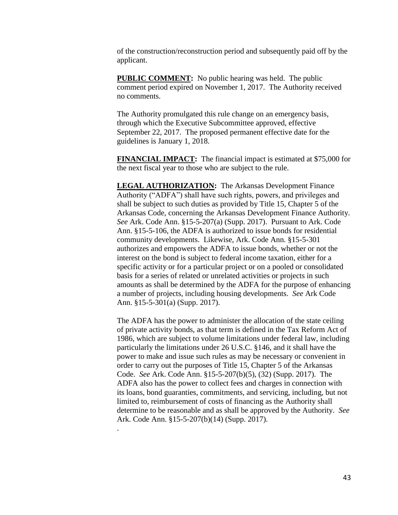of the construction/reconstruction period and subsequently paid off by the applicant.

**PUBLIC COMMENT:** No public hearing was held. The public comment period expired on November 1, 2017. The Authority received no comments.

The Authority promulgated this rule change on an emergency basis, through which the Executive Subcommittee approved, effective September 22, 2017. The proposed permanent effective date for the guidelines is January 1, 2018.

**FINANCIAL IMPACT:** The financial impact is estimated at \$75,000 for the next fiscal year to those who are subject to the rule.

**LEGAL AUTHORIZATION:** The Arkansas Development Finance Authority ("ADFA") shall have such rights, powers, and privileges and shall be subject to such duties as provided by Title 15, Chapter 5 of the Arkansas Code, concerning the Arkansas Development Finance Authority. *See* Ark. Code Ann. §15-5-207(a) (Supp. 2017). Pursuant to Ark. Code Ann. §15-5-106, the ADFA is authorized to issue bonds for residential community developments. Likewise, Ark. Code Ann. §15-5-301 authorizes and empowers the ADFA to issue bonds, whether or not the interest on the bond is subject to federal income taxation, either for a specific activity or for a particular project or on a pooled or consolidated basis for a series of related or unrelated activities or projects in such amounts as shall be determined by the ADFA for the purpose of enhancing a number of projects, including housing developments. *See* Ark Code Ann. §15-5-301(a) (Supp. 2017).

The ADFA has the power to administer the allocation of the state ceiling of private activity bonds, as that term is defined in the Tax Reform Act of 1986, which are subject to volume limitations under federal law, including particularly the limitations under 26 U.S.C. §146, and it shall have the power to make and issue such rules as may be necessary or convenient in order to carry out the purposes of Title 15, Chapter 5 of the Arkansas Code. *See* Ark. Code Ann. §15-5-207(b)(5), (32) (Supp. 2017). The ADFA also has the power to collect fees and charges in connection with its loans, bond guaranties, commitments, and servicing, including, but not limited to, reimbursement of costs of financing as the Authority shall determine to be reasonable and as shall be approved by the Authority. *See* Ark. Code Ann. §15-5-207(b)(14) (Supp. 2017).

.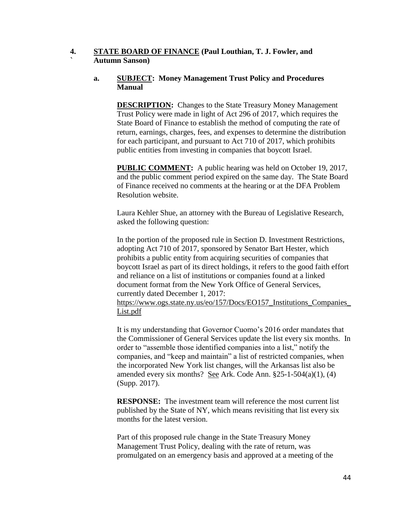## **4. STATE BOARD OF FINANCE (Paul Louthian, T. J. Fowler, and ` Autumn Sanson)**

## **a. SUBJECT: Money Management Trust Policy and Procedures Manual**

**DESCRIPTION:** Changes to the State Treasury Money Management Trust Policy were made in light of Act 296 of 2017, which requires the State Board of Finance to establish the method of computing the rate of return, earnings, charges, fees, and expenses to determine the distribution for each participant, and pursuant to Act 710 of 2017, which prohibits public entities from investing in companies that boycott Israel.

**PUBLIC COMMENT:** A public hearing was held on October 19, 2017, and the public comment period expired on the same day. The State Board of Finance received no comments at the hearing or at the DFA Problem Resolution website.

Laura Kehler Shue, an attorney with the Bureau of Legislative Research, asked the following question:

In the portion of the proposed rule in Section D. Investment Restrictions, adopting Act 710 of 2017, sponsored by Senator Bart Hester, which prohibits a public entity from acquiring securities of companies that boycott Israel as part of its direct holdings, it refers to the good faith effort and reliance on a list of institutions or companies found at a linked document format from the New York Office of General Services, currently dated December 1, 2017: [https://www.ogs.state.ny.us/eo/157/Docs/EO157\\_Institutions\\_Companies\\_](https://www.ogs.state.ny.us/eo/157/Docs/EO157_Institutions_Companies_List.pdf) [List.pdf](https://www.ogs.state.ny.us/eo/157/Docs/EO157_Institutions_Companies_List.pdf)

It is my understanding that Governor Cuomo's 2016 order mandates that the Commissioner of General Services update the list every six months. In order to "assemble those identified companies into a list," notify the companies, and "keep and maintain" a list of restricted companies, when the incorporated New York list changes, will the Arkansas list also be amended every six months? <u>See</u> Ark. Code Ann. §25-1-504(a)(1), (4) (Supp. 2017).

**RESPONSE:** The investment team will reference the most current list published by the State of NY, which means revisiting that list every six months for the latest version.

Part of this proposed rule change in the State Treasury Money Management Trust Policy, dealing with the rate of return, was promulgated on an emergency basis and approved at a meeting of the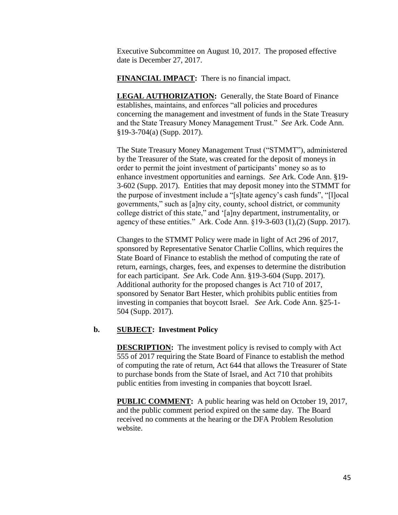Executive Subcommittee on August 10, 2017. The proposed effective date is December 27, 2017.

**FINANCIAL IMPACT:** There is no financial impact.

**LEGAL AUTHORIZATION:** Generally, the State Board of Finance establishes, maintains, and enforces "all policies and procedures concerning the management and investment of funds in the State Treasury and the State Treasury Money Management Trust." *See* Ark. Code Ann. §19-3-704(a) (Supp. 2017).

The State Treasury Money Management Trust ("STMMT"), administered by the Treasurer of the State, was created for the deposit of moneys in order to permit the joint investment of participants' money so as to enhance investment opportunities and earnings. *See* Ark. Code Ann. §19- 3-602 (Supp. 2017). Entities that may deposit money into the STMMT for the purpose of investment include a "[s]tate agency's cash funds", "[l]ocal governments," such as [a]ny city, county, school district, or community college district of this state," and '[a]ny department, instrumentality, or agency of these entities." Ark. Code Ann. §19-3-603 (1),(2) (Supp. 2017).

Changes to the STMMT Policy were made in light of Act 296 of 2017, sponsored by Representative Senator Charlie Collins, which requires the State Board of Finance to establish the method of computing the rate of return, earnings, charges, fees, and expenses to determine the distribution for each participant. *See* Ark. Code Ann. §19-3-604 (Supp. 2017). Additional authority for the proposed changes is Act 710 of 2017, sponsored by Senator Bart Hester, which prohibits public entities from investing in companies that boycott Israel. *See* Ark. Code Ann. §25-1- 504 (Supp. 2017).

## **b. SUBJECT: Investment Policy**

**DESCRIPTION:** The investment policy is revised to comply with Act 555 of 2017 requiring the State Board of Finance to establish the method of computing the rate of return, Act 644 that allows the Treasurer of State to purchase bonds from the State of Israel, and Act 710 that prohibits public entities from investing in companies that boycott Israel.

**PUBLIC COMMENT:** A public hearing was held on October 19, 2017, and the public comment period expired on the same day. The Board received no comments at the hearing or the DFA Problem Resolution website.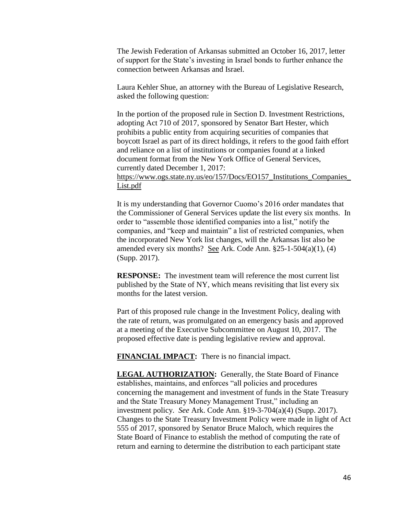The Jewish Federation of Arkansas submitted an October 16, 2017, letter of support for the State's investing in Israel bonds to further enhance the connection between Arkansas and Israel.

Laura Kehler Shue, an attorney with the Bureau of Legislative Research, asked the following question:

In the portion of the proposed rule in Section D. Investment Restrictions, adopting Act 710 of 2017, sponsored by Senator Bart Hester, which prohibits a public entity from acquiring securities of companies that boycott Israel as part of its direct holdings, it refers to the good faith effort and reliance on a list of institutions or companies found at a linked document format from the New York Office of General Services, currently dated December 1, 2017: [https://www.ogs.state.ny.us/eo/157/Docs/EO157\\_Institutions\\_Companies\\_](https://www.ogs.state.ny.us/eo/157/Docs/EO157_Institutions_Companies_List.pdf)

[List.pdf](https://www.ogs.state.ny.us/eo/157/Docs/EO157_Institutions_Companies_List.pdf)

It is my understanding that Governor Cuomo's 2016 order mandates that the Commissioner of General Services update the list every six months. In order to "assemble those identified companies into a list," notify the companies, and "keep and maintain" a list of restricted companies, when the incorporated New York list changes, will the Arkansas list also be amended every six months? <u>See</u> Ark. Code Ann. §25-1-504(a)(1), (4) (Supp. 2017).

**RESPONSE:** The investment team will reference the most current list published by the State of NY, which means revisiting that list every six months for the latest version.

Part of this proposed rule change in the Investment Policy, dealing with the rate of return, was promulgated on an emergency basis and approved at a meeting of the Executive Subcommittee on August 10, 2017. The proposed effective date is pending legislative review and approval.

**FINANCIAL IMPACT:** There is no financial impact.

**LEGAL AUTHORIZATION:** Generally, the State Board of Finance establishes, maintains, and enforces "all policies and procedures concerning the management and investment of funds in the State Treasury and the State Treasury Money Management Trust," including an investment policy. *See* Ark. Code Ann. §19-3-704(a)(4) (Supp. 2017). Changes to the State Treasury Investment Policy were made in light of Act 555 of 2017, sponsored by Senator Bruce Maloch, which requires the State Board of Finance to establish the method of computing the rate of return and earning to determine the distribution to each participant state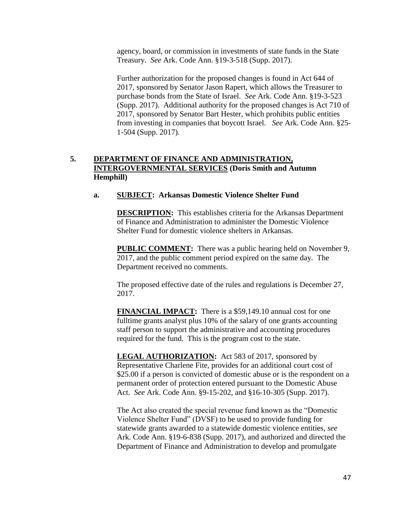agency, board, or commission in investments of state funds in the State Treasury. *See* Ark. Code Ann. §19-3-518 (Supp. 2017).

Further authorization for the proposed changes is found in Act 644 of 2017, sponsored by Senator Jason Rapert, which allows the Treasurer to purchase bonds from the State of Israel. *See* Ark. Code Ann. §19-3-523 (Supp. 2017). Additional authority for the proposed changes is Act 710 of 2017, sponsored by Senator Bart Hester, which prohibits public entities from investing in companies that boycott Israel. *See* Ark. Code Ann. §25- 1-504 (Supp. 2017).

# **5. DEPARTMENT OF FINANCE AND ADMINISTRATION, INTERGOVERNMENTAL SERVICES (Doris Smith and Autumn Hemphill)**

## **a. SUBJECT: Arkansas Domestic Violence Shelter Fund**

**DESCRIPTION:** This establishes criteria for the Arkansas Department of Finance and Administration to administer the Domestic Violence Shelter Fund for domestic violence shelters in Arkansas.

**PUBLIC COMMENT:** There was a public hearing held on November 9, 2017, and the public comment period expired on the same day. The Department received no comments.

The proposed effective date of the rules and regulations is December 27, 2017.

**FINANCIAL IMPACT:** There is a \$59,149.10 annual cost for one fulltime grants analyst plus 10% of the salary of one grants accounting staff person to support the administrative and accounting procedures required for the fund. This is the program cost to the state.

**LEGAL AUTHORIZATION:** Act 583 of 2017, sponsored by Representative Charlene Fite, provides for an additional court cost of \$25.00 if a person is convicted of domestic abuse or is the respondent on a permanent order of protection entered pursuant to the Domestic Abuse Act. *See* Ark. Code Ann. §9-15-202, and §16-10-305 (Supp. 2017).

The Act also created the special revenue fund known as the "Domestic Violence Shelter Fund" (DVSF) to be used to provide funding for statewide grants awarded to a statewide domestic violence entities, *see* Ark. Code Ann. §19-6-838 (Supp. 2017), and authorized and directed the Department of Finance and Administration to develop and promulgate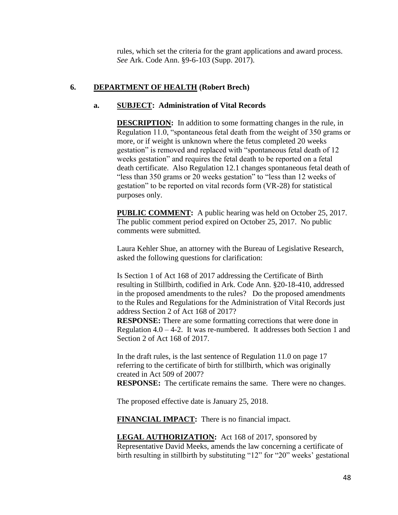rules, which set the criteria for the grant applications and award process. *See* Ark. Code Ann. §9-6-103 (Supp. 2017).

# **6. DEPARTMENT OF HEALTH (Robert Brech)**

## **a. SUBJECT: Administration of Vital Records**

**DESCRIPTION:** In addition to some formatting changes in the rule, in Regulation 11.0, "spontaneous fetal death from the weight of 350 grams or more, or if weight is unknown where the fetus completed 20 weeks gestation" is removed and replaced with "spontaneous fetal death of 12 weeks gestation" and requires the fetal death to be reported on a fetal death certificate. Also Regulation 12.1 changes spontaneous fetal death of "less than 350 grams or 20 weeks gestation" to "less than 12 weeks of gestation" to be reported on vital records form (VR-28) for statistical purposes only.

**PUBLIC COMMENT:** A public hearing was held on October 25, 2017. The public comment period expired on October 25, 2017. No public comments were submitted.

Laura Kehler Shue, an attorney with the Bureau of Legislative Research, asked the following questions for clarification:

Is Section 1 of Act 168 of 2017 addressing the Certificate of Birth resulting in Stillbirth, codified in Ark. Code Ann. §20-18-410, addressed in the proposed amendments to the rules? Do the proposed amendments to the Rules and Regulations for the Administration of Vital Records just address Section 2 of Act 168 of 2017?

**RESPONSE:** There are some formatting corrections that were done in Regulation  $4.0 - 4-2$ . It was re-numbered. It addresses both Section 1 and Section 2 of Act 168 of 2017.

In the draft rules, is the last sentence of Regulation 11.0 on page 17 referring to the certificate of birth for stillbirth, which was originally created in Act 509 of 2007?

**RESPONSE:** The certificate remains the same. There were no changes.

The proposed effective date is January 25, 2018.

**FINANCIAL IMPACT:** There is no financial impact.

**LEGAL AUTHORIZATION:** Act 168 of 2017, sponsored by Representative David Meeks, amends the law concerning a certificate of birth resulting in stillbirth by substituting "12" for "20" weeks' gestational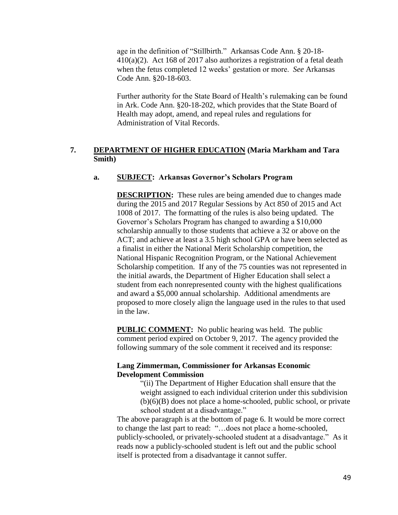age in the definition of "Stillbirth." Arkansas Code Ann. § 20-18- 410(a)(2). Act 168 of 2017 also authorizes a registration of a fetal death when the fetus completed 12 weeks' gestation or more. *See* Arkansas Code Ann. §20-18-603.

Further authority for the State Board of Health's rulemaking can be found in Ark. Code Ann. §20-18-202, which provides that the State Board of Health may adopt, amend, and repeal rules and regulations for Administration of Vital Records.

# **7. DEPARTMENT OF HIGHER EDUCATION (Maria Markham and Tara Smith)**

### **a. SUBJECT: Arkansas Governor's Scholars Program**

**DESCRIPTION:** These rules are being amended due to changes made during the 2015 and 2017 Regular Sessions by Act 850 of 2015 and Act 1008 of 2017. The formatting of the rules is also being updated. The Governor's Scholars Program has changed to awarding a \$10,000 scholarship annually to those students that achieve a 32 or above on the ACT; and achieve at least a 3.5 high school GPA or have been selected as a finalist in either the National Merit Scholarship competition, the National Hispanic Recognition Program, or the National Achievement Scholarship competition. If any of the 75 counties was not represented in the initial awards, the Department of Higher Education shall select a student from each nonrepresented county with the highest qualifications and award a \$5,000 annual scholarship. Additional amendments are proposed to more closely align the language used in the rules to that used in the law.

**PUBLIC COMMENT:** No public hearing was held. The public comment period expired on October 9, 2017. The agency provided the following summary of the sole comment it received and its response:

### **Lang Zimmerman, Commissioner for Arkansas Economic Development Commission**

"(ii) The Department of Higher Education shall ensure that the weight assigned to each individual criterion under this subdivision (b)(6)(B) does not place a home-schooled, public school, or private school student at a disadvantage."

The above paragraph is at the bottom of page 6. It would be more correct to change the last part to read: "…does not place a home-schooled, publicly-schooled, or privately-schooled student at a disadvantage." As it reads now a publicly-schooled student is left out and the public school itself is protected from a disadvantage it cannot suffer.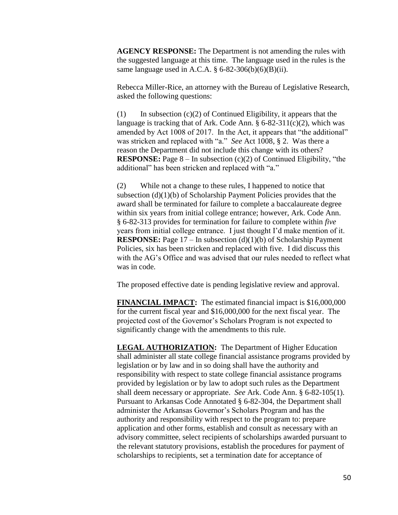**AGENCY RESPONSE:** The Department is not amending the rules with the suggested language at this time. The language used in the rules is the same language used in A.C.A.  $\S$  6-82-306(b)(6)(B)(ii).

Rebecca Miller-Rice, an attorney with the Bureau of Legislative Research, asked the following questions:

(1) In subsection  $(c)(2)$  of Continued Eligibility, it appears that the language is tracking that of Ark. Code Ann.  $\S 6-82-311(c)(2)$ , which was amended by Act 1008 of 2017. In the Act, it appears that "the additional" was stricken and replaced with "a." *See* Act 1008, § 2. Was there a reason the Department did not include this change with its others? **RESPONSE:** Page 8 – In subsection (c)(2) of Continued Eligibility, "the additional" has been stricken and replaced with "a."

(2) While not a change to these rules, I happened to notice that subsection  $(d)(1)(b)$  of Scholarship Payment Policies provides that the award shall be terminated for failure to complete a baccalaureate degree within six years from initial college entrance; however, Ark. Code Ann. § 6-82-313 provides for termination for failure to complete within *five* years from initial college entrance. I just thought I'd make mention of it. **RESPONSE:** Page 17 – In subsection (d)(1)(b) of Scholarship Payment Policies, six has been stricken and replaced with five. I did discuss this with the AG's Office and was advised that our rules needed to reflect what was in code.

The proposed effective date is pending legislative review and approval.

**FINANCIAL IMPACT:** The estimated financial impact is \$16,000,000 for the current fiscal year and \$16,000,000 for the next fiscal year. The projected cost of the Governor's Scholars Program is not expected to significantly change with the amendments to this rule.

**LEGAL AUTHORIZATION:** The Department of Higher Education shall administer all state college financial assistance programs provided by legislation or by law and in so doing shall have the authority and responsibility with respect to state college financial assistance programs provided by legislation or by law to adopt such rules as the Department shall deem necessary or appropriate. *See* Ark. Code Ann. § 6-82-105(1). Pursuant to Arkansas Code Annotated § 6-82-304, the Department shall administer the Arkansas Governor's Scholars Program and has the authority and responsibility with respect to the program to: prepare application and other forms, establish and consult as necessary with an advisory committee, select recipients of scholarships awarded pursuant to the relevant statutory provisions, establish the procedures for payment of scholarships to recipients, set a termination date for acceptance of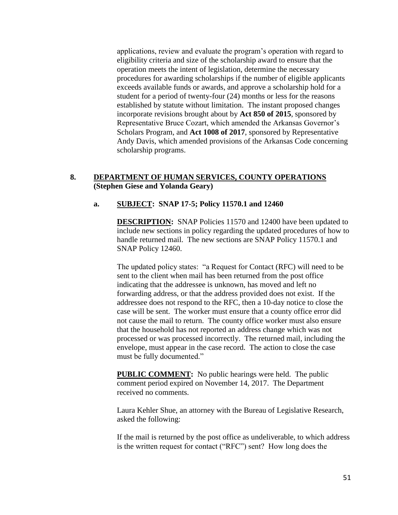applications, review and evaluate the program's operation with regard to eligibility criteria and size of the scholarship award to ensure that the operation meets the intent of legislation, determine the necessary procedures for awarding scholarships if the number of eligible applicants exceeds available funds or awards, and approve a scholarship hold for a student for a period of twenty-four (24) months or less for the reasons established by statute without limitation. The instant proposed changes incorporate revisions brought about by **Act 850 of 2015**, sponsored by Representative Bruce Cozart, which amended the Arkansas Governor's Scholars Program, and **Act 1008 of 2017**, sponsored by Representative Andy Davis, which amended provisions of the Arkansas Code concerning scholarship programs.

## **8. DEPARTMENT OF HUMAN SERVICES, COUNTY OPERATIONS (Stephen Giese and Yolanda Geary)**

# **a. SUBJECT: SNAP 17-5; Policy 11570.1 and 12460**

**DESCRIPTION:** SNAP Policies 11570 and 12400 have been updated to include new sections in policy regarding the updated procedures of how to handle returned mail. The new sections are SNAP Policy 11570.1 and SNAP Policy 12460.

The updated policy states: "a Request for Contact (RFC) will need to be sent to the client when mail has been returned from the post office indicating that the addressee is unknown, has moved and left no forwarding address, or that the address provided does not exist. If the addressee does not respond to the RFC, then a 10-day notice to close the case will be sent. The worker must ensure that a county office error did not cause the mail to return. The county office worker must also ensure that the household has not reported an address change which was not processed or was processed incorrectly. The returned mail, including the envelope, must appear in the case record. The action to close the case must be fully documented."

**PUBLIC COMMENT:** No public hearings were held. The public comment period expired on November 14, 2017. The Department received no comments.

Laura Kehler Shue, an attorney with the Bureau of Legislative Research, asked the following:

If the mail is returned by the post office as undeliverable, to which address is the written request for contact ("RFC") sent? How long does the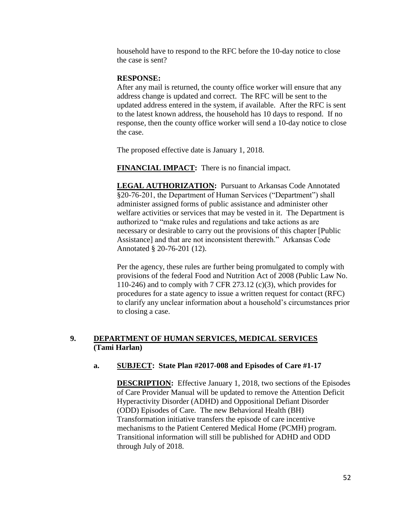household have to respond to the RFC before the 10-day notice to close the case is sent?

### **RESPONSE:**

After any mail is returned, the county office worker will ensure that any address change is updated and correct. The RFC will be sent to the updated address entered in the system, if available. After the RFC is sent to the latest known address, the household has 10 days to respond. If no response, then the county office worker will send a 10-day notice to close the case.

The proposed effective date is January 1, 2018.

**FINANCIAL IMPACT:** There is no financial impact.

**LEGAL AUTHORIZATION:** Pursuant to Arkansas Code Annotated §20-76-201, the Department of Human Services ("Department") shall administer assigned forms of public assistance and administer other welfare activities or services that may be vested in it. The Department is authorized to "make rules and regulations and take actions as are necessary or desirable to carry out the provisions of this chapter [Public Assistance] and that are not inconsistent therewith." Arkansas Code Annotated § 20-76-201 (12).

Per the agency, these rules are further being promulgated to comply with provisions of the federal Food and Nutrition Act of 2008 (Public Law No. 110-246) and to comply with 7 CFR 273.12 (c)(3), which provides for procedures for a state agency to issue a written request for contact (RFC) to clarify any unclear information about a household's circumstances prior to closing a case.

# **9. DEPARTMENT OF HUMAN SERVICES, MEDICAL SERVICES (Tami Harlan)**

## **a. SUBJECT: State Plan #2017-008 and Episodes of Care #1-17**

**DESCRIPTION:** Effective January 1, 2018, two sections of the Episodes of Care Provider Manual will be updated to remove the Attention Deficit Hyperactivity Disorder (ADHD) and Oppositional Defiant Disorder (ODD) Episodes of Care. The new Behavioral Health (BH) Transformation initiative transfers the episode of care incentive mechanisms to the Patient Centered Medical Home (PCMH) program. Transitional information will still be published for ADHD and ODD through July of 2018.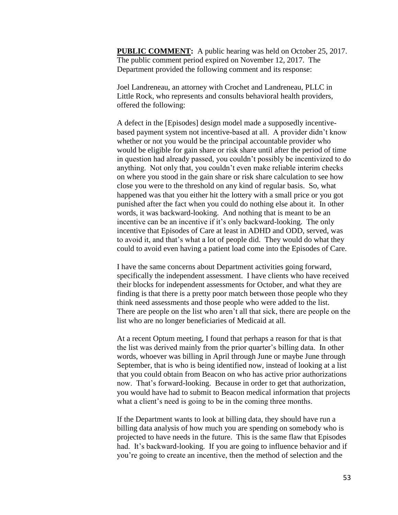**PUBLIC COMMENT:** A public hearing was held on October 25, 2017. The public comment period expired on November 12, 2017. The Department provided the following comment and its response:

Joel Landreneau, an attorney with Crochet and Landreneau, PLLC in Little Rock, who represents and consults behavioral health providers, offered the following:

A defect in the [Episodes] design model made a supposedly incentivebased payment system not incentive-based at all. A provider didn't know whether or not you would be the principal accountable provider who would be eligible for gain share or risk share until after the period of time in question had already passed, you couldn't possibly be incentivized to do anything. Not only that, you couldn't even make reliable interim checks on where you stood in the gain share or risk share calculation to see how close you were to the threshold on any kind of regular basis. So, what happened was that you either hit the lottery with a small price or you got punished after the fact when you could do nothing else about it. In other words, it was backward-looking. And nothing that is meant to be an incentive can be an incentive if it's only backward-looking. The only incentive that Episodes of Care at least in ADHD and ODD, served, was to avoid it, and that's what a lot of people did. They would do what they could to avoid even having a patient load come into the Episodes of Care.

I have the same concerns about Department activities going forward, specifically the independent assessment. I have clients who have received their blocks for independent assessments for October, and what they are finding is that there is a pretty poor match between those people who they think need assessments and those people who were added to the list. There are people on the list who aren't all that sick, there are people on the list who are no longer beneficiaries of Medicaid at all.

At a recent Optum meeting, I found that perhaps a reason for that is that the list was derived mainly from the prior quarter's billing data. In other words, whoever was billing in April through June or maybe June through September, that is who is being identified now, instead of looking at a list that you could obtain from Beacon on who has active prior authorizations now. That's forward-looking. Because in order to get that authorization, you would have had to submit to Beacon medical information that projects what a client's need is going to be in the coming three months.

If the Department wants to look at billing data, they should have run a billing data analysis of how much you are spending on somebody who is projected to have needs in the future. This is the same flaw that Episodes had. It's backward-looking. If you are going to influence behavior and if you're going to create an incentive, then the method of selection and the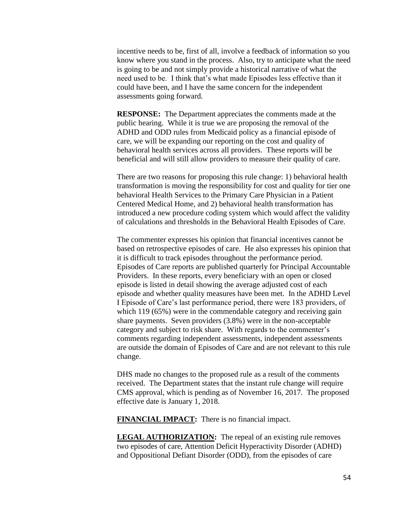incentive needs to be, first of all, involve a feedback of information so you know where you stand in the process. Also, try to anticipate what the need is going to be and not simply provide a historical narrative of what the need used to be. I think that's what made Episodes less effective than it could have been, and I have the same concern for the independent assessments going forward.

**RESPONSE:** The Department appreciates the comments made at the public hearing. While it is true we are proposing the removal of the ADHD and ODD rules from Medicaid policy as a financial episode of care, we will be expanding our reporting on the cost and quality of behavioral health services across all providers. These reports will be beneficial and will still allow providers to measure their quality of care.

There are two reasons for proposing this rule change: 1) behavioral health transformation is moving the responsibility for cost and quality for tier one behavioral Health Services to the Primary Care Physician in a Patient Centered Medical Home, and 2) behavioral health transformation has introduced a new procedure coding system which would affect the validity of calculations and thresholds in the Behavioral Health Episodes of Care.

The commenter expresses his opinion that financial incentives cannot be based on retrospective episodes of care. He also expresses his opinion that it is difficult to track episodes throughout the performance period. Episodes of Care reports are published quarterly for Principal Accountable Providers. In these reports, every beneficiary with an open or closed episode is listed in detail showing the average adjusted cost of each episode and whether quality measures have been met. In the ADHD Level I Episode of Care's last performance period, there were 183 providers, of which 119 (65%) were in the commendable category and receiving gain share payments. Seven providers (3.8%) were in the non-acceptable category and subject to risk share. With regards to the commenter's comments regarding independent assessments, independent assessments are outside the domain of Episodes of Care and are not relevant to this rule change.

DHS made no changes to the proposed rule as a result of the comments received. The Department states that the instant rule change will require CMS approval, which is pending as of November 16, 2017. The proposed effective date is January 1, 2018.

**FINANCIAL IMPACT:** There is no financial impact.

**LEGAL AUTHORIZATION:** The repeal of an existing rule removes two episodes of care, Attention Deficit Hyperactivity Disorder (ADHD) and Oppositional Defiant Disorder (ODD), from the episodes of care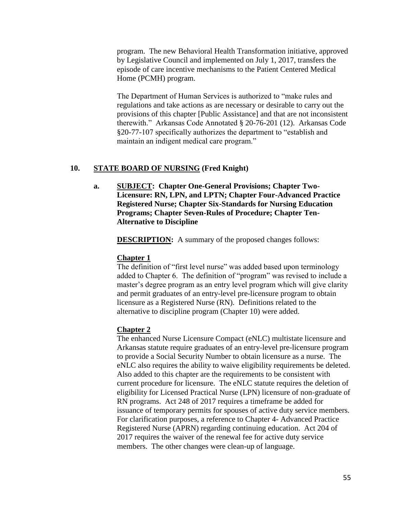program. The new Behavioral Health Transformation initiative, approved by Legislative Council and implemented on July 1, 2017, transfers the episode of care incentive mechanisms to the Patient Centered Medical Home (PCMH) program.

The Department of Human Services is authorized to "make rules and regulations and take actions as are necessary or desirable to carry out the provisions of this chapter [Public Assistance] and that are not inconsistent therewith." Arkansas Code Annotated § 20-76-201 (12). Arkansas Code §20-77-107 specifically authorizes the department to "establish and maintain an indigent medical care program."

### **10. STATE BOARD OF NURSING (Fred Knight)**

**a. SUBJECT: Chapter One-General Provisions; Chapter Two-Licensure: RN, LPN, and LPTN; Chapter Four-Advanced Practice Registered Nurse; Chapter Six-Standards for Nursing Education Programs; Chapter Seven-Rules of Procedure; Chapter Ten-Alternative to Discipline**

**DESCRIPTION:** A summary of the proposed changes follows:

#### **Chapter 1**

The definition of "first level nurse" was added based upon terminology added to Chapter 6. The definition of "program" was revised to include a master's degree program as an entry level program which will give clarity and permit graduates of an entry-level pre-licensure program to obtain licensure as a Registered Nurse (RN). Definitions related to the alternative to discipline program (Chapter 10) were added.

### **Chapter 2**

The enhanced Nurse Licensure Compact (eNLC) multistate licensure and Arkansas statute require graduates of an entry-level pre-licensure program to provide a Social Security Number to obtain licensure as a nurse. The eNLC also requires the ability to waive eligibility requirements be deleted. Also added to this chapter are the requirements to be consistent with current procedure for licensure. The eNLC statute requires the deletion of eligibility for Licensed Practical Nurse (LPN) licensure of non-graduate of RN programs. Act 248 of 2017 requires a timeframe be added for issuance of temporary permits for spouses of active duty service members. For clarification purposes, a reference to Chapter 4- Advanced Practice Registered Nurse (APRN) regarding continuing education. Act 204 of 2017 requires the waiver of the renewal fee for active duty service members. The other changes were clean-up of language.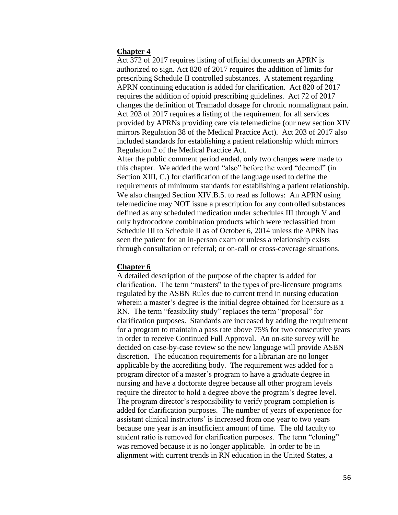### **Chapter 4**

Act 372 of 2017 requires listing of official documents an APRN is authorized to sign. Act 820 of 2017 requires the addition of limits for prescribing Schedule II controlled substances. A statement regarding APRN continuing education is added for clarification. Act 820 of 2017 requires the addition of opioid prescribing guidelines. Act 72 of 2017 changes the definition of Tramadol dosage for chronic nonmalignant pain. Act 203 of 2017 requires a listing of the requirement for all services provided by APRNs providing care via telemedicine (our new section XIV mirrors Regulation 38 of the Medical Practice Act). Act 203 of 2017 also included standards for establishing a patient relationship which mirrors Regulation 2 of the Medical Practice Act.

After the public comment period ended, only two changes were made to this chapter. We added the word "also" before the word "deemed" (in Section XIII, C.) for clarification of the language used to define the requirements of minimum standards for establishing a patient relationship. We also changed Section XIV.B.5. to read as follows: An APRN using telemedicine may NOT issue a prescription for any controlled substances defined as any scheduled medication under schedules III through V and only hydrocodone combination products which were reclassified from Schedule III to Schedule II as of October 6, 2014 unless the APRN has seen the patient for an in-person exam or unless a relationship exists through consultation or referral; or on-call or cross-coverage situations.

### **Chapter 6**

A detailed description of the purpose of the chapter is added for clarification. The term "masters" to the types of pre-licensure programs regulated by the ASBN Rules due to current trend in nursing education wherein a master's degree is the initial degree obtained for licensure as a RN. The term "feasibility study" replaces the term "proposal" for clarification purposes. Standards are increased by adding the requirement for a program to maintain a pass rate above 75% for two consecutive years in order to receive Continued Full Approval. An on-site survey will be decided on case-by-case review so the new language will provide ASBN discretion. The education requirements for a librarian are no longer applicable by the accrediting body. The requirement was added for a program director of a master's program to have a graduate degree in nursing and have a doctorate degree because all other program levels require the director to hold a degree above the program's degree level. The program director's responsibility to verify program completion is added for clarification purposes. The number of years of experience for assistant clinical instructors' is increased from one year to two years because one year is an insufficient amount of time. The old faculty to student ratio is removed for clarification purposes. The term "cloning" was removed because it is no longer applicable. In order to be in alignment with current trends in RN education in the United States, a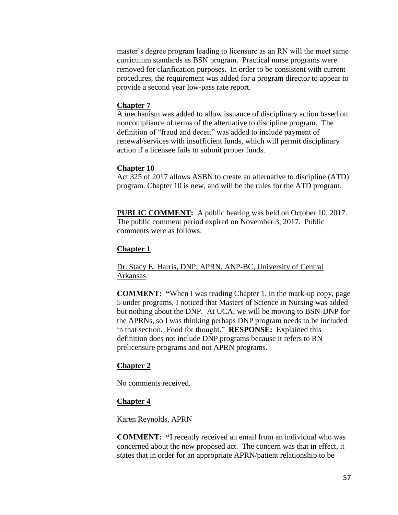master's degree program leading to licensure as an RN will the meet same curriculum standards as BSN program. Practical nurse programs were removed for clarification purposes. In order to be consistent with current procedures, the requirement was added for a program director to appear to provide a second year low-pass rate report.

### **Chapter 7**

A mechanism was added to allow issuance of disciplinary action based on noncompliance of terms of the alternative to discipline program. The definition of "fraud and deceit" was added to include payment of renewal/services with insufficient funds, which will permit disciplinary action if a licensee fails to submit proper funds.

### **Chapter 10**

Act 325 of 2017 allows ASBN to create an alternative to discipline (ATD) program. Chapter 10 is new, and will be the rules for the ATD program.

**PUBLIC COMMENT:** A public hearing was held on October 10, 2017. The public comment period expired on November 3, 2017. Public comments were as follows:

### **Chapter 1**

## Dr. Stacy E. Harris, DNP, APRN, ANP-BC, University of Central Arkansas

**COMMENT: "**When I was reading Chapter 1, in the mark-up copy, page 5 under programs, I noticed that Masters of Science in Nursing was added but nothing about the DNP. At UCA, we will be moving to BSN-DNP for the APRNs, so I was thinking perhaps DNP program needs to be included in that section. Food for thought." **RESPONSE:** Explained this definition does not include DNP programs because it refers to RN prelicensure programs and not APRN programs.

### **Chapter 2**

No comments received.

### **Chapter 4**

### Karen Reynolds, APRN

**COMMENT: "**I recently received an email from an individual who was concerned about the new proposed act. The concern was that in effect, it states that in order for an appropriate APRN/patient relationship to be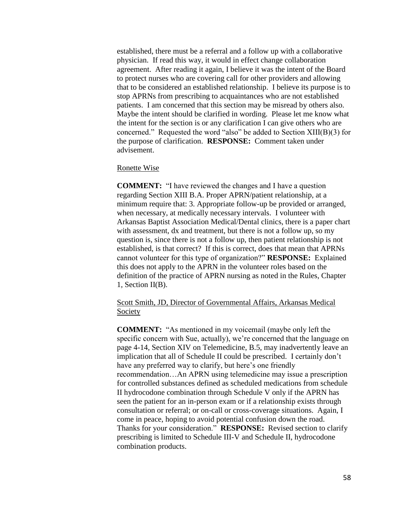established, there must be a referral and a follow up with a collaborative physician. If read this way, it would in effect change collaboration agreement. After reading it again, I believe it was the intent of the Board to protect nurses who are covering call for other providers and allowing that to be considered an established relationship. I believe its purpose is to stop APRNs from prescribing to acquaintances who are not established patients. I am concerned that this section may be misread by others also. Maybe the intent should be clarified in wording. Please let me know what the intent for the section is or any clarification I can give others who are concerned." Requested the word "also" be added to Section XIII(B)(3) for the purpose of clarification. **RESPONSE:** Comment taken under advisement.

#### Ronette Wise

**COMMENT:** "I have reviewed the changes and I have a question regarding Section XIII B.A. Proper APRN/patient relationship, at a minimum require that: 3. Appropriate follow-up be provided or arranged, when necessary, at medically necessary intervals. I volunteer with Arkansas Baptist Association Medical/Dental clinics, there is a paper chart with assessment, dx and treatment, but there is not a follow up, so my question is, since there is not a follow up, then patient relationship is not established, is that correct? If this is correct, does that mean that APRNs cannot volunteer for this type of organization?" **RESPONSE:** Explained this does not apply to the APRN in the volunteer roles based on the definition of the practice of APRN nursing as noted in the Rules, Chapter 1, Section II(B).

## Scott Smith, JD, Director of Governmental Affairs, Arkansas Medical Society

**COMMENT:** "As mentioned in my voicemail (maybe only left the specific concern with Sue, actually), we're concerned that the language on page 4-14, Section XIV on Telemedicine, B.5, may inadvertently leave an implication that all of Schedule II could be prescribed. I certainly don't have any preferred way to clarify, but here's one friendly recommendation…An APRN using telemedicine may issue a prescription for controlled substances defined as scheduled medications from schedule II hydrocodone combination through Schedule V only if the APRN has seen the patient for an in-person exam or if a relationship exists through consultation or referral; or on-call or cross-coverage situations. Again, I come in peace, hoping to avoid potential confusion down the road. Thanks for your consideration." **RESPONSE:** Revised section to clarify prescribing is limited to Schedule III-V and Schedule II, hydrocodone combination products.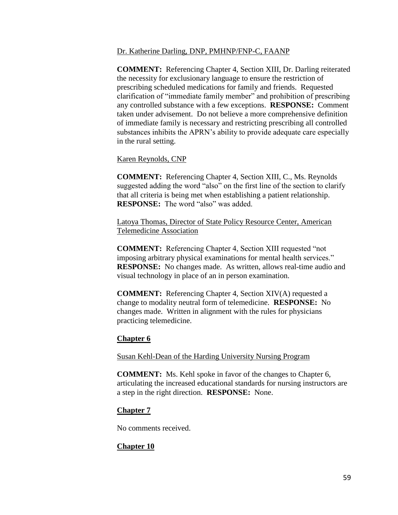### Dr. Katherine Darling, DNP, PMHNP/FNP-C, FAANP

**COMMENT:** Referencing Chapter 4, Section XIII, Dr. Darling reiterated the necessity for exclusionary language to ensure the restriction of prescribing scheduled medications for family and friends. Requested clarification of "immediate family member" and prohibition of prescribing any controlled substance with a few exceptions. **RESPONSE:** Comment taken under advisement. Do not believe a more comprehensive definition of immediate family is necessary and restricting prescribing all controlled substances inhibits the APRN's ability to provide adequate care especially in the rural setting.

# Karen Reynolds, CNP

**COMMENT:** Referencing Chapter 4, Section XIII, C., Ms. Reynolds suggested adding the word "also" on the first line of the section to clarify that all criteria is being met when establishing a patient relationship. **RESPONSE:** The word "also" was added.

Latoya Thomas, Director of State Policy Resource Center, American Telemedicine Association

**COMMENT:** Referencing Chapter 4, Section XIII requested "not imposing arbitrary physical examinations for mental health services." **RESPONSE:** No changes made. As written, allows real-time audio and visual technology in place of an in person examination.

**COMMENT:** Referencing Chapter 4, Section XIV(A) requested a change to modality neutral form of telemedicine. **RESPONSE:** No changes made. Written in alignment with the rules for physicians practicing telemedicine.

# **Chapter 6**

Susan Kehl-Dean of the Harding University Nursing Program

**COMMENT:** Ms. Kehl spoke in favor of the changes to Chapter 6, articulating the increased educational standards for nursing instructors are a step in the right direction. **RESPONSE:** None.

# **Chapter 7**

No comments received.

# **Chapter 10**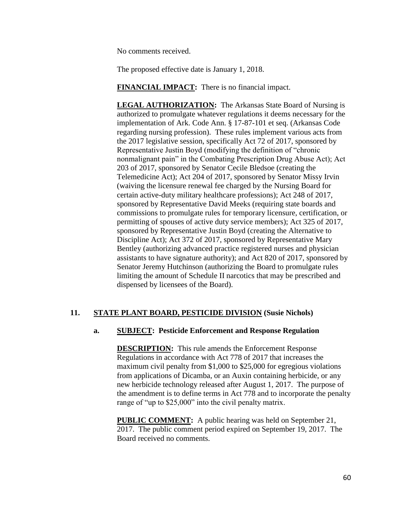No comments received.

The proposed effective date is January 1, 2018.

**FINANCIAL IMPACT:** There is no financial impact.

**LEGAL AUTHORIZATION:** The Arkansas State Board of Nursing is authorized to promulgate whatever regulations it deems necessary for the implementation of Ark. Code Ann. § 17-87-101 et seq. (Arkansas Code regarding nursing profession). These rules implement various acts from the 2017 legislative session, specifically Act 72 of 2017, sponsored by Representative Justin Boyd (modifying the definition of "chronic nonmalignant pain" in the Combating Prescription Drug Abuse Act); Act 203 of 2017, sponsored by Senator Cecile Bledsoe (creating the Telemedicine Act); Act 204 of 2017, sponsored by Senator Missy Irvin (waiving the licensure renewal fee charged by the Nursing Board for certain active-duty military healthcare professions); Act 248 of 2017, sponsored by Representative David Meeks (requiring state boards and commissions to promulgate rules for temporary licensure, certification, or permitting of spouses of active duty service members); Act 325 of 2017, sponsored by Representative Justin Boyd (creating the Alternative to Discipline Act); Act 372 of 2017, sponsored by Representative Mary Bentley (authorizing advanced practice registered nurses and physician assistants to have signature authority); and Act 820 of 2017, sponsored by Senator Jeremy Hutchinson (authorizing the Board to promulgate rules limiting the amount of Schedule II narcotics that may be prescribed and dispensed by licensees of the Board).

# **11. STATE PLANT BOARD, PESTICIDE DIVISION (Susie Nichols)**

## **a. SUBJECT: Pesticide Enforcement and Response Regulation**

**DESCRIPTION:** This rule amends the Enforcement Response Regulations in accordance with Act 778 of 2017 that increases the maximum civil penalty from \$1,000 to \$25,000 for egregious violations from applications of Dicamba, or an Auxin containing herbicide, or any new herbicide technology released after August 1, 2017. The purpose of the amendment is to define terms in Act 778 and to incorporate the penalty range of "up to \$25,000" into the civil penalty matrix.

**PUBLIC COMMENT:** A public hearing was held on September 21, 2017. The public comment period expired on September 19, 2017. The Board received no comments.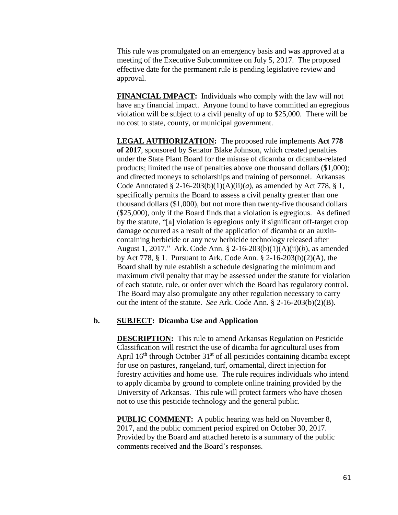This rule was promulgated on an emergency basis and was approved at a meeting of the Executive Subcommittee on July 5, 2017. The proposed effective date for the permanent rule is pending legislative review and approval.

**FINANCIAL IMPACT:** Individuals who comply with the law will not have any financial impact. Anyone found to have committed an egregious violation will be subject to a civil penalty of up to \$25,000. There will be no cost to state, county, or municipal government.

**LEGAL AUTHORIZATION:** The proposed rule implements **Act 778 of 2017**, sponsored by Senator Blake Johnson, which created penalties under the State Plant Board for the misuse of dicamba or dicamba-related products; limited the use of penalties above one thousand dollars (\$1,000); and directed moneys to scholarships and training of personnel. Arkansas Code Annotated §  $2-16-203(b)(1)(A)(ii)(a)$ , as amended by Act 778, § 1, specifically permits the Board to assess a civil penalty greater than one thousand dollars (\$1,000), but not more than twenty-five thousand dollars (\$25,000), only if the Board finds that a violation is egregious. As defined by the statute, "[a] violation is egregious only if significant off-target crop damage occurred as a result of the application of dicamba or an auxincontaining herbicide or any new herbicide technology released after August 1, 2017." Ark. Code Ann. § 2-16-203(b)(1)(A)(ii)(*b*), as amended by Act 778, § 1. Pursuant to Ark. Code Ann. § 2-16-203(b)(2)(A), the Board shall by rule establish a schedule designating the minimum and maximum civil penalty that may be assessed under the statute for violation of each statute, rule, or order over which the Board has regulatory control. The Board may also promulgate any other regulation necessary to carry out the intent of the statute. *See* Ark. Code Ann. § 2-16-203(b)(2)(B).

### **b. SUBJECT: Dicamba Use and Application**

**DESCRIPTION:** This rule to amend Arkansas Regulation on Pesticide Classification will restrict the use of dicamba for agricultural uses from April  $16<sup>th</sup>$  through October  $31<sup>st</sup>$  of all pesticides containing dicamba except for use on pastures, rangeland, turf, ornamental, direct injection for forestry activities and home use. The rule requires individuals who intend to apply dicamba by ground to complete online training provided by the University of Arkansas. This rule will protect farmers who have chosen not to use this pesticide technology and the general public.

**PUBLIC COMMENT:** A public hearing was held on November 8, 2017, and the public comment period expired on October 30, 2017. Provided by the Board and attached hereto is a summary of the public comments received and the Board's responses.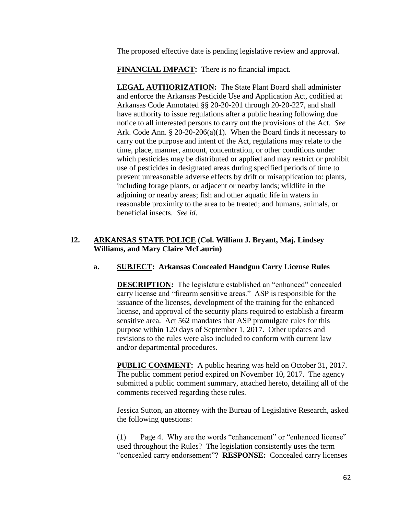The proposed effective date is pending legislative review and approval.

**FINANCIAL IMPACT:** There is no financial impact.

**LEGAL AUTHORIZATION:** The State Plant Board shall administer and enforce the Arkansas Pesticide Use and Application Act, codified at Arkansas Code Annotated §§ 20-20-201 through 20-20-227, and shall have authority to issue regulations after a public hearing following due notice to all interested persons to carry out the provisions of the Act. *See* Ark. Code Ann. § 20-20-206(a)(1). When the Board finds it necessary to carry out the purpose and intent of the Act, regulations may relate to the time, place, manner, amount, concentration, or other conditions under which pesticides may be distributed or applied and may restrict or prohibit use of pesticides in designated areas during specified periods of time to prevent unreasonable adverse effects by drift or misapplication to: plants, including forage plants, or adjacent or nearby lands; wildlife in the adjoining or nearby areas; fish and other aquatic life in waters in reasonable proximity to the area to be treated; and humans, animals, or beneficial insects. *See id*.

# **12. ARKANSAS STATE POLICE (Col. William J. Bryant, Maj. Lindsey Williams, and Mary Claire McLaurin)**

## **a. SUBJECT: Arkansas Concealed Handgun Carry License Rules**

**DESCRIPTION:** The legislature established an "enhanced" concealed carry license and "firearm sensitive areas." ASP is responsible for the issuance of the licenses, development of the training for the enhanced license, and approval of the security plans required to establish a firearm sensitive area. Act 562 mandates that ASP promulgate rules for this purpose within 120 days of September 1, 2017. Other updates and revisions to the rules were also included to conform with current law and/or departmental procedures.

**PUBLIC COMMENT:** A public hearing was held on October 31, 2017. The public comment period expired on November 10, 2017. The agency submitted a public comment summary, attached hereto, detailing all of the comments received regarding these rules.

Jessica Sutton, an attorney with the Bureau of Legislative Research, asked the following questions:

(1) Page 4. Why are the words "enhancement" or "enhanced license" used throughout the Rules? The legislation consistently uses the term "concealed carry endorsement"? **RESPONSE:** Concealed carry licenses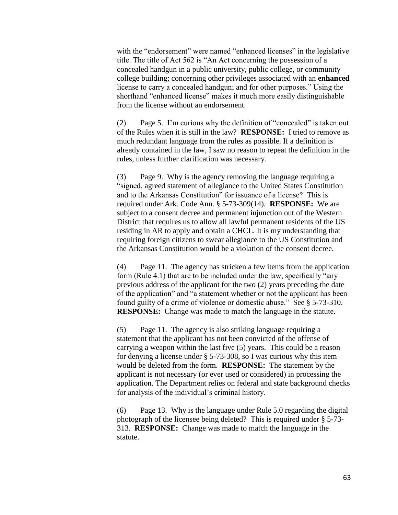with the "endorsement" were named "enhanced licenses" in the legislative title. The title of Act 562 is "An Act concerning the possession of a concealed handgun in a public university, public college, or community college building; concerning other privileges associated with an **enhanced** license to carry a concealed handgun; and for other purposes." Using the shorthand "enhanced license" makes it much more easily distinguishable from the license without an endorsement.

(2) Page 5. I'm curious why the definition of "concealed" is taken out of the Rules when it is still in the law? **RESPONSE:** I tried to remove as much redundant language from the rules as possible. If a definition is already contained in the law, I saw no reason to repeat the definition in the rules, unless further clarification was necessary.

(3) Page 9. Why is the agency removing the language requiring a "signed, agreed statement of allegiance to the United States Constitution and to the Arkansas Constitution" for issuance of a license? This is required under Ark. Code Ann. § 5-73-309(14). **RESPONSE:** We are subject to a consent decree and permanent injunction out of the Western District that requires us to allow all lawful permanent residents of the US residing in AR to apply and obtain a CHCL. It is my understanding that requiring foreign citizens to swear allegiance to the US Constitution and the Arkansas Constitution would be a violation of the consent decree.

(4) Page 11. The agency has stricken a few items from the application form (Rule 4.1) that are to be included under the law, specifically "any previous address of the applicant for the two (2) years preceding the date of the application" and "a statement whether or not the applicant has been found guilty of a crime of violence or domestic abuse." See § 5-73-310. **RESPONSE:** Change was made to match the language in the statute.

(5) Page 11. The agency is also striking language requiring a statement that the applicant has not been convicted of the offense of carrying a weapon within the last five (5) years. This could be a reason for denying a license under § 5-73-308, so I was curious why this item would be deleted from the form. **RESPONSE:** The statement by the applicant is not necessary (or ever used or considered) in processing the application. The Department relies on federal and state background checks for analysis of the individual's criminal history.

(6) Page 13. Why is the language under Rule 5.0 regarding the digital photograph of the licensee being deleted? This is required under § 5-73- 313. **RESPONSE:** Change was made to match the language in the statute.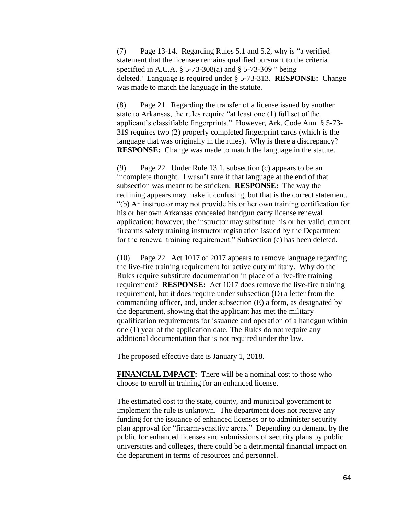(7) Page 13-14. Regarding Rules 5.1 and 5.2, why is "a verified statement that the licensee remains qualified pursuant to the criteria specified in A.C.A. § 5-73-308(a) and § 5-73-309 " being deleted? Language is required under § 5-73-313. **RESPONSE:** Change was made to match the language in the statute.

(8) Page 21. Regarding the transfer of a license issued by another state to Arkansas, the rules require "at least one (1) full set of the applicant's classifiable fingerprints." However, Ark. Code Ann. § 5-73- 319 requires two (2) properly completed fingerprint cards (which is the language that was originally in the rules). Why is there a discrepancy? **RESPONSE:** Change was made to match the language in the statute.

(9) Page 22. Under Rule 13.1, subsection (c) appears to be an incomplete thought. I wasn't sure if that language at the end of that subsection was meant to be stricken. **RESPONSE:** The way the redlining appears may make it confusing, but that is the correct statement. "(b) An instructor may not provide his or her own training certification for his or her own Arkansas concealed handgun carry license renewal application; however, the instructor may substitute his or her valid, current firearms safety training instructor registration issued by the Department for the renewal training requirement." Subsection (c) has been deleted.

(10) Page 22. Act 1017 of 2017 appears to remove language regarding the live-fire training requirement for active duty military. Why do the Rules require substitute documentation in place of a live-fire training requirement? **RESPONSE:** Act 1017 does remove the live-fire training requirement, but it does require under subsection (D) a letter from the commanding officer, and, under subsection (E) a form, as designated by the department, showing that the applicant has met the military qualification requirements for issuance and operation of a handgun within one (1) year of the application date. The Rules do not require any additional documentation that is not required under the law.

The proposed effective date is January 1, 2018.

**FINANCIAL IMPACT:** There will be a nominal cost to those who choose to enroll in training for an enhanced license.

The estimated cost to the state, county, and municipal government to implement the rule is unknown. The department does not receive any funding for the issuance of enhanced licenses or to administer security plan approval for "firearm-sensitive areas." Depending on demand by the public for enhanced licenses and submissions of security plans by public universities and colleges, there could be a detrimental financial impact on the department in terms of resources and personnel.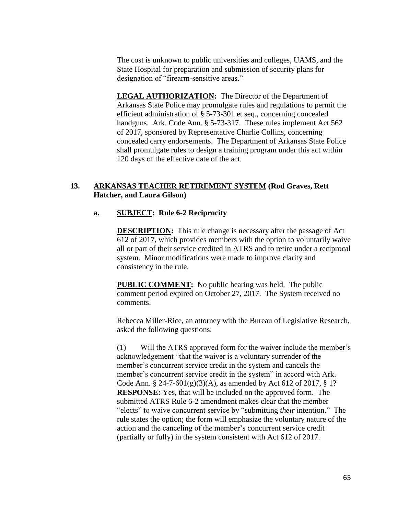The cost is unknown to public universities and colleges, UAMS, and the State Hospital for preparation and submission of security plans for designation of "firearm-sensitive areas."

**LEGAL AUTHORIZATION:** The Director of the Department of Arkansas State Police may promulgate rules and regulations to permit the efficient administration of § 5-73-301 et seq., concerning concealed handguns. Ark. Code Ann. § 5-73-317. These rules implement Act 562 of 2017, sponsored by Representative Charlie Collins, concerning concealed carry endorsements. The Department of Arkansas State Police shall promulgate rules to design a training program under this act within 120 days of the effective date of the act.

## **13. ARKANSAS TEACHER RETIREMENT SYSTEM (Rod Graves, Rett Hatcher, and Laura Gilson)**

## **a. SUBJECT: Rule 6-2 Reciprocity**

**DESCRIPTION:** This rule change is necessary after the passage of Act 612 of 2017, which provides members with the option to voluntarily waive all or part of their service credited in ATRS and to retire under a reciprocal system. Minor modifications were made to improve clarity and consistency in the rule.

**PUBLIC COMMENT:** No public hearing was held. The public comment period expired on October 27, 2017. The System received no comments.

Rebecca Miller-Rice, an attorney with the Bureau of Legislative Research, asked the following questions:

(1) Will the ATRS approved form for the waiver include the member's acknowledgement "that the waiver is a voluntary surrender of the member's concurrent service credit in the system and cancels the member's concurrent service credit in the system" in accord with Ark. Code Ann. § 24-7-601(g)(3)(A), as amended by Act 612 of 2017, § 1? **RESPONSE:** Yes, that will be included on the approved form. The submitted ATRS Rule 6-2 amendment makes clear that the member "elects" to waive concurrent service by "submitting *their* intention." The rule states the option; the form will emphasize the voluntary nature of the action and the canceling of the member's concurrent service credit (partially or fully) in the system consistent with Act 612 of 2017.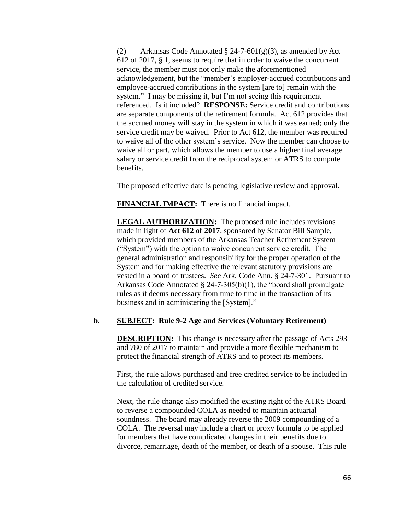(2) Arkansas Code Annotated  $\S$  24-7-601(g)(3), as amended by Act 612 of 2017, § 1, seems to require that in order to waive the concurrent service, the member must not only make the aforementioned acknowledgement, but the "member's employer-accrued contributions and employee-accrued contributions in the system [are to] remain with the system." I may be missing it, but I'm not seeing this requirement referenced. Is it included? **RESPONSE:** Service credit and contributions are separate components of the retirement formula. Act 612 provides that the accrued money will stay in the system in which it was earned; only the service credit may be waived. Prior to Act 612, the member was required to waive all of the other system's service. Now the member can choose to waive all or part, which allows the member to use a higher final average salary or service credit from the reciprocal system or ATRS to compute benefits.

The proposed effective date is pending legislative review and approval.

**FINANCIAL IMPACT:** There is no financial impact.

**LEGAL AUTHORIZATION:** The proposed rule includes revisions made in light of **Act 612 of 2017**, sponsored by Senator Bill Sample, which provided members of the Arkansas Teacher Retirement System ("System") with the option to waive concurrent service credit. The general administration and responsibility for the proper operation of the System and for making effective the relevant statutory provisions are vested in a board of trustees. *See* Ark. Code Ann. § 24-7-301. Pursuant to Arkansas Code Annotated § 24-7-305(b)(1), the "board shall promulgate rules as it deems necessary from time to time in the transaction of its business and in administering the [System]."

## **b. SUBJECT: Rule 9-2 Age and Services (Voluntary Retirement)**

**DESCRIPTION:** This change is necessary after the passage of Acts 293 and 780 of 2017 to maintain and provide a more flexible mechanism to protect the financial strength of ATRS and to protect its members.

First, the rule allows purchased and free credited service to be included in the calculation of credited service.

Next, the rule change also modified the existing right of the ATRS Board to reverse a compounded COLA as needed to maintain actuarial soundness. The board may already reverse the 2009 compounding of a COLA. The reversal may include a chart or proxy formula to be applied for members that have complicated changes in their benefits due to divorce, remarriage, death of the member, or death of a spouse. This rule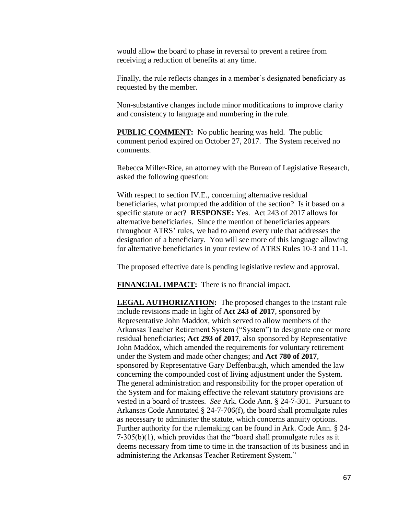would allow the board to phase in reversal to prevent a retiree from receiving a reduction of benefits at any time.

Finally, the rule reflects changes in a member's designated beneficiary as requested by the member.

Non-substantive changes include minor modifications to improve clarity and consistency to language and numbering in the rule.

**PUBLIC COMMENT:** No public hearing was held. The public comment period expired on October 27, 2017. The System received no comments.

Rebecca Miller-Rice, an attorney with the Bureau of Legislative Research, asked the following question:

With respect to section IV.E., concerning alternative residual beneficiaries, what prompted the addition of the section? Is it based on a specific statute or act? **RESPONSE:** Yes. Act 243 of 2017 allows for alternative beneficiaries. Since the mention of beneficiaries appears throughout ATRS' rules, we had to amend every rule that addresses the designation of a beneficiary. You will see more of this language allowing for alternative beneficiaries in your review of ATRS Rules 10-3 and 11-1.

The proposed effective date is pending legislative review and approval.

**FINANCIAL IMPACT:** There is no financial impact.

**LEGAL AUTHORIZATION:** The proposed changes to the instant rule include revisions made in light of **Act 243 of 2017**, sponsored by Representative John Maddox, which served to allow members of the Arkansas Teacher Retirement System ("System") to designate one or more residual beneficiaries; **Act 293 of 2017**, also sponsored by Representative John Maddox, which amended the requirements for voluntary retirement under the System and made other changes; and **Act 780 of 2017**, sponsored by Representative Gary Deffenbaugh, which amended the law concerning the compounded cost of living adjustment under the System. The general administration and responsibility for the proper operation of the System and for making effective the relevant statutory provisions are vested in a board of trustees. *See* Ark. Code Ann. § 24-7-301. Pursuant to Arkansas Code Annotated § 24-7-706(f), the board shall promulgate rules as necessary to administer the statute, which concerns annuity options. Further authority for the rulemaking can be found in Ark. Code Ann. § 24-  $7-305(b)(1)$ , which provides that the "board shall promulgate rules as it deems necessary from time to time in the transaction of its business and in administering the Arkansas Teacher Retirement System."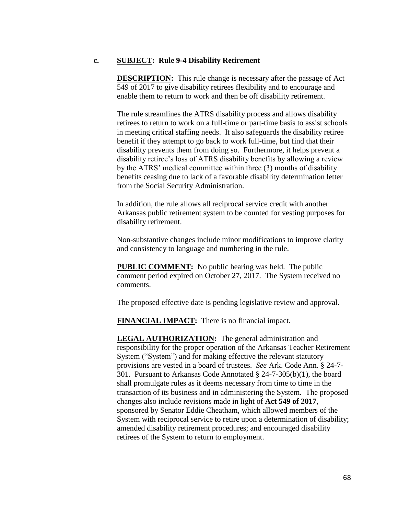### **c. SUBJECT: Rule 9-4 Disability Retirement**

**DESCRIPTION:** This rule change is necessary after the passage of Act 549 of 2017 to give disability retirees flexibility and to encourage and enable them to return to work and then be off disability retirement.

The rule streamlines the ATRS disability process and allows disability retirees to return to work on a full-time or part-time basis to assist schools in meeting critical staffing needs. It also safeguards the disability retiree benefit if they attempt to go back to work full-time, but find that their disability prevents them from doing so. Furthermore, it helps prevent a disability retiree's loss of ATRS disability benefits by allowing a review by the ATRS' medical committee within three (3) months of disability benefits ceasing due to lack of a favorable disability determination letter from the Social Security Administration.

In addition, the rule allows all reciprocal service credit with another Arkansas public retirement system to be counted for vesting purposes for disability retirement.

Non-substantive changes include minor modifications to improve clarity and consistency to language and numbering in the rule.

**PUBLIC COMMENT:** No public hearing was held. The public comment period expired on October 27, 2017. The System received no comments.

The proposed effective date is pending legislative review and approval.

**FINANCIAL IMPACT:** There is no financial impact.

**LEGAL AUTHORIZATION:** The general administration and responsibility for the proper operation of the Arkansas Teacher Retirement System ("System") and for making effective the relevant statutory provisions are vested in a board of trustees. *See* Ark. Code Ann. § 24-7- 301. Pursuant to Arkansas Code Annotated § 24-7-305(b)(1), the board shall promulgate rules as it deems necessary from time to time in the transaction of its business and in administering the System. The proposed changes also include revisions made in light of **Act 549 of 2017**, sponsored by Senator Eddie Cheatham, which allowed members of the System with reciprocal service to retire upon a determination of disability; amended disability retirement procedures; and encouraged disability retirees of the System to return to employment.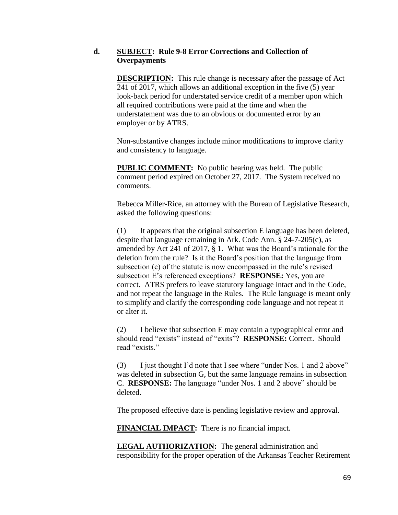## **d. SUBJECT: Rule 9-8 Error Corrections and Collection of Overpayments**

**DESCRIPTION:** This rule change is necessary after the passage of Act 241 of 2017, which allows an additional exception in the five (5) year look-back period for understated service credit of a member upon which all required contributions were paid at the time and when the understatement was due to an obvious or documented error by an employer or by ATRS.

Non-substantive changes include minor modifications to improve clarity and consistency to language.

**PUBLIC COMMENT:** No public hearing was held. The public comment period expired on October 27, 2017. The System received no comments.

Rebecca Miller-Rice, an attorney with the Bureau of Legislative Research, asked the following questions:

(1) It appears that the original subsection E language has been deleted, despite that language remaining in Ark. Code Ann. § 24-7-205(c), as amended by Act 241 of 2017, § 1. What was the Board's rationale for the deletion from the rule? Is it the Board's position that the language from subsection (c) of the statute is now encompassed in the rule's revised subsection E's referenced exceptions? **RESPONSE:** Yes, you are correct. ATRS prefers to leave statutory language intact and in the Code, and not repeat the language in the Rules. The Rule language is meant only to simplify and clarify the corresponding code language and not repeat it or alter it.

(2) I believe that subsection E may contain a typographical error and should read "exists" instead of "exits"? **RESPONSE:** Correct. Should read "exists."

(3) I just thought I'd note that I see where "under Nos. 1 and 2 above" was deleted in subsection G, but the same language remains in subsection C. **RESPONSE:** The language "under Nos. 1 and 2 above" should be deleted.

The proposed effective date is pending legislative review and approval.

**FINANCIAL IMPACT:** There is no financial impact.

**LEGAL AUTHORIZATION:** The general administration and responsibility for the proper operation of the Arkansas Teacher Retirement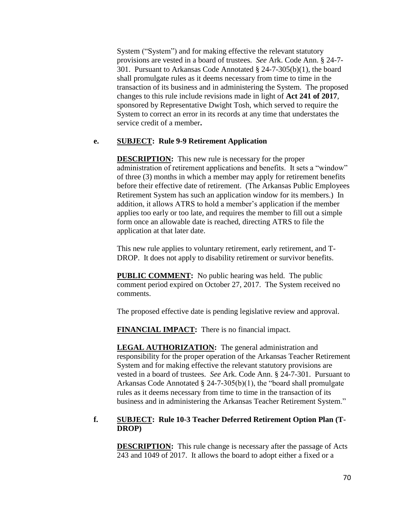System ("System") and for making effective the relevant statutory provisions are vested in a board of trustees. *See* Ark. Code Ann. § 24-7- 301. Pursuant to Arkansas Code Annotated § 24-7-305(b)(1), the board shall promulgate rules as it deems necessary from time to time in the transaction of its business and in administering the System. The proposed changes to this rule include revisions made in light of **Act 241 of 2017**, sponsored by Representative Dwight Tosh, which served to require the System to correct an error in its records at any time that understates the service credit of a member**.** 

## **e. SUBJECT: Rule 9-9 Retirement Application**

**DESCRIPTION:** This new rule is necessary for the proper administration of retirement applications and benefits. It sets a "window" of three (3) months in which a member may apply for retirement benefits before their effective date of retirement. (The Arkansas Public Employees Retirement System has such an application window for its members.) In addition, it allows ATRS to hold a member's application if the member applies too early or too late, and requires the member to fill out a simple form once an allowable date is reached, directing ATRS to file the application at that later date.

This new rule applies to voluntary retirement, early retirement, and T-DROP. It does not apply to disability retirement or survivor benefits.

**PUBLIC COMMENT:** No public hearing was held. The public comment period expired on October 27, 2017. The System received no comments.

The proposed effective date is pending legislative review and approval.

**FINANCIAL IMPACT:** There is no financial impact.

**LEGAL AUTHORIZATION:** The general administration and responsibility for the proper operation of the Arkansas Teacher Retirement System and for making effective the relevant statutory provisions are vested in a board of trustees. *See* Ark. Code Ann. § 24-7-301. Pursuant to Arkansas Code Annotated § 24-7-305(b)(1), the "board shall promulgate rules as it deems necessary from time to time in the transaction of its business and in administering the Arkansas Teacher Retirement System."

# **f. SUBJECT: Rule 10-3 Teacher Deferred Retirement Option Plan (T-DROP)**

**DESCRIPTION:** This rule change is necessary after the passage of Acts 243 and 1049 of 2017. It allows the board to adopt either a fixed or a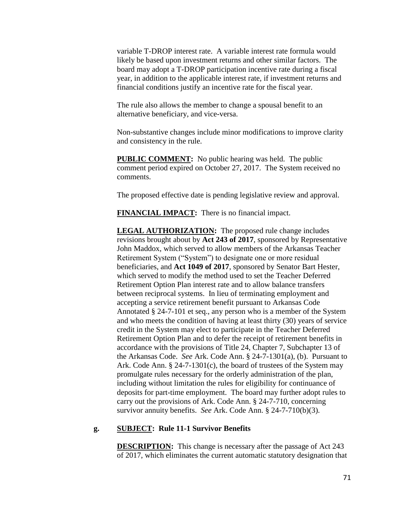variable T-DROP interest rate. A variable interest rate formula would likely be based upon investment returns and other similar factors. The board may adopt a T-DROP participation incentive rate during a fiscal year, in addition to the applicable interest rate, if investment returns and financial conditions justify an incentive rate for the fiscal year.

The rule also allows the member to change a spousal benefit to an alternative beneficiary, and vice-versa.

Non-substantive changes include minor modifications to improve clarity and consistency in the rule.

**PUBLIC COMMENT:** No public hearing was held. The public comment period expired on October 27, 2017. The System received no comments.

The proposed effective date is pending legislative review and approval.

**FINANCIAL IMPACT:** There is no financial impact.

**LEGAL AUTHORIZATION:** The proposed rule change includes revisions brought about by **Act 243 of 2017**, sponsored by Representative John Maddox, which served to allow members of the Arkansas Teacher Retirement System ("System") to designate one or more residual beneficiaries, and **Act 1049 of 2017**, sponsored by Senator Bart Hester, which served to modify the method used to set the Teacher Deferred Retirement Option Plan interest rate and to allow balance transfers between reciprocal systems. In lieu of terminating employment and accepting a service retirement benefit pursuant to Arkansas Code Annotated § 24-7-101 et seq., any person who is a member of the System and who meets the condition of having at least thirty (30) years of service credit in the System may elect to participate in the Teacher Deferred Retirement Option Plan and to defer the receipt of retirement benefits in accordance with the provisions of Title 24, Chapter 7, Subchapter 13 of the Arkansas Code. *See* Ark. Code Ann. § 24-7-1301(a), (b). Pursuant to Ark. Code Ann. § 24-7-1301(c), the board of trustees of the System may promulgate rules necessary for the orderly administration of the plan, including without limitation the rules for eligibility for continuance of deposits for part-time employment. The board may further adopt rules to carry out the provisions of Ark. Code Ann. § 24-7-710, concerning survivor annuity benefits. *See* Ark. Code Ann. § 24-7-710(b)(3).

### **g. SUBJECT: Rule 11-1 Survivor Benefits**

**DESCRIPTION:** This change is necessary after the passage of Act 243 of 2017, which eliminates the current automatic statutory designation that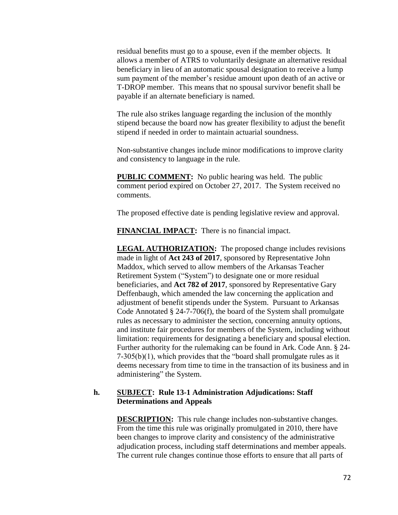residual benefits must go to a spouse, even if the member objects. It allows a member of ATRS to voluntarily designate an alternative residual beneficiary in lieu of an automatic spousal designation to receive a lump sum payment of the member's residue amount upon death of an active or T-DROP member. This means that no spousal survivor benefit shall be payable if an alternate beneficiary is named.

The rule also strikes language regarding the inclusion of the monthly stipend because the board now has greater flexibility to adjust the benefit stipend if needed in order to maintain actuarial soundness.

Non-substantive changes include minor modifications to improve clarity and consistency to language in the rule.

**PUBLIC COMMENT:** No public hearing was held. The public comment period expired on October 27, 2017. The System received no comments.

The proposed effective date is pending legislative review and approval.

**FINANCIAL IMPACT:** There is no financial impact.

**LEGAL AUTHORIZATION:** The proposed change includes revisions made in light of **Act 243 of 2017**, sponsored by Representative John Maddox, which served to allow members of the Arkansas Teacher Retirement System ("System") to designate one or more residual beneficiaries, and **Act 782 of 2017**, sponsored by Representative Gary Deffenbaugh, which amended the law concerning the application and adjustment of benefit stipends under the System. Pursuant to Arkansas Code Annotated § 24-7-706(f), the board of the System shall promulgate rules as necessary to administer the section, concerning annuity options, and institute fair procedures for members of the System, including without limitation: requirements for designating a beneficiary and spousal election. Further authority for the rulemaking can be found in Ark. Code Ann. § 24- 7-305(b)(1), which provides that the "board shall promulgate rules as it deems necessary from time to time in the transaction of its business and in administering" the System.

### **h. SUBJECT: Rule 13-1 Administration Adjudications: Staff Determinations and Appeals**

**DESCRIPTION:** This rule change includes non-substantive changes. From the time this rule was originally promulgated in 2010, there have been changes to improve clarity and consistency of the administrative adjudication process, including staff determinations and member appeals. The current rule changes continue those efforts to ensure that all parts of